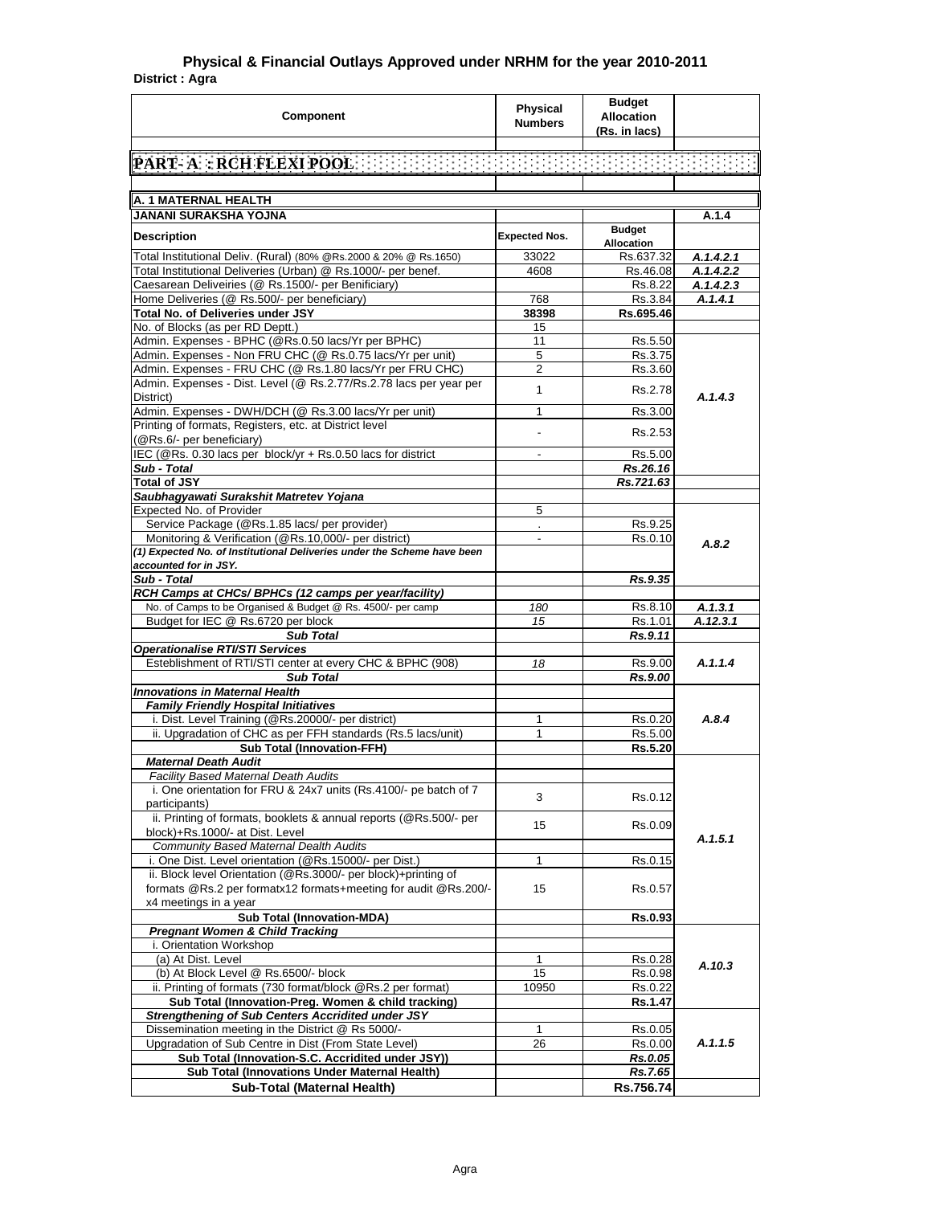## **District : Agra Physical & Financial Outlays Approved under NRHM for the year 2010-2011**

| <b>[PART- A] : RCH FLEXI POOL</b> : [1011] : [1011] : [1011] : [1011] : [1011] : [1011] : [1011] : [1011] : [1011]<br>A. 1 MATERNAL HEALTH<br><b>JANANI SURAKSHA YOJNA</b><br>A.1.4<br><b>Budget</b><br><b>Expected Nos.</b><br><b>Description</b><br><b>Allocation</b><br>Total Institutional Deliv. (Rural) (80% @Rs.2000 & 20% @ Rs.1650)<br>Rs.637.32<br>33022<br>A.1.4.2.1<br>Total Institutional Deliveries (Urban) @ Rs.1000/- per benef.<br>4608<br>A.1.4.2.2<br>Rs.46.08<br>Caesarean Deliveiries (@ Rs.1500/- per Benificiary)<br>Rs.8.22<br>A.1.4.2.3<br>Home Deliveries (@ Rs.500/- per beneficiary)<br>Rs.3.84<br>768<br>A.1.4.1<br>Total No. of Deliveries under JSY<br>Rs.695.46<br>38398<br>No. of Blocks (as per RD Deptt.)<br>15<br>Admin. Expenses - BPHC (@Rs.0.50 lacs/Yr per BPHC)<br>11<br>Rs.5.50<br>Admin. Expenses - Non FRU CHC (@ Rs.0.75 lacs/Yr per unit)<br>Rs.3.75<br>5<br>Admin. Expenses - FRU CHC (@ Rs.1.80 lacs/Yr per FRU CHC)<br>2<br>Rs.3.60<br>Admin. Expenses - Dist. Level (@ Rs.2.77/Rs.2.78 lacs per year per<br>$\mathbf{1}$<br>Rs.2.78<br>A.1.4.3<br>District)<br>Admin. Expenses - DWH/DCH (@ Rs.3.00 lacs/Yr per unit)<br>1<br>Rs.3.00<br>Printing of formats, Registers, etc. at District level<br>Rs.2.53<br>٠<br>(@Rs.6/- per beneficiary)<br>IEC (@Rs. 0.30 lacs per block/yr + Rs.0.50 lacs for district<br>Rs.5.00<br>Sub - Total<br>Rs.26.16<br><b>Total of JSY</b><br>Rs.721.63<br>Saubhagyawati Surakshit Matretev Yojana<br>Expected No. of Provider<br>5<br>Service Package (@Rs.1.85 lacs/ per provider)<br>Rs.9.25<br>Monitoring & Verification (@Rs.10,000/- per district)<br>Rs.0.10<br>$\overline{\phantom{a}}$<br>A.8.2<br>(1) Expected No. of Institutional Deliveries under the Scheme have been<br>accounted for in JSY.<br>Sub - Total<br>Rs.9.35<br>RCH Camps at CHCs/ BPHCs (12 camps per year/facility)<br>No. of Camps to be Organised & Budget @ Rs. 4500/- per camp<br>180<br>Rs.8.10<br>A.1.3.1<br>A.12.3.1<br>Budget for IEC @ Rs.6720 per block<br>15<br>Rs.1.01<br><b>Sub Total</b><br>Rs.9.11<br><b>Operationalise RTI/STI Services</b><br>Esteblishment of RTI/STI center at every CHC & BPHC (908)<br>A.1.1.4<br>18<br>Rs.9.00<br><b>Sub Total</b><br>Rs.9.00<br><b>Innovations in Maternal Health</b><br><b>Family Friendly Hospital Initiatives</b><br>A.8.4<br>i. Dist. Level Training (@Rs.20000/- per district)<br>1<br>Rs.0.20<br>ii. Upgradation of CHC as per FFH standards (Rs.5 lacs/unit)<br>$\mathbf{1}$<br>Rs.5.00<br><b>Sub Total (Innovation-FFH)</b><br>Rs.5.20<br><b>Maternal Death Audit</b><br>Facility Based Maternal Death Audits<br>i. One orientation for FRU & 24x7 units (Rs.4100/- pe batch of 7<br>3<br>Rs.0.12<br>participants)<br>ii. Printing of formats, booklets & annual reports (@Rs.500/- per<br>15<br>Rs.0.09<br>block)+Rs.1000/- at Dist. Level<br>A.1.5.1<br>Community Based Maternal Dealth Audits<br>i. One Dist. Level orientation (@Rs.15000/- per Dist.)<br>1<br>Rs.0.15<br>ii. Block level Orientation (@Rs.3000/- per block)+printing of<br>formats @Rs.2 per formatx12 formats+meeting for audit @Rs.200/-<br>15<br>Rs.0.57<br>x4 meetings in a year<br><b>Sub Total (Innovation-MDA)</b><br>Rs.0.93<br><b>Pregnant Women &amp; Child Tracking</b><br>i. Orientation Workshop<br>(a) At Dist. Level<br>Rs.0.28<br>1<br>A.10.3<br>(b) At Block Level @ Rs.6500/- block<br>15<br>Rs.0.98<br>ii. Printing of formats (730 format/block @Rs.2 per format)<br>10950<br>Rs.0.22<br>Sub Total (Innovation-Preg. Women & child tracking)<br>Rs.1.47<br><b>Strengthening of Sub Centers Accridited under JSY</b><br>Dissemination meeting in the District @ Rs 5000/-<br>1<br>Rs.0.05<br>A.1.1.5<br>Upgradation of Sub Centre in Dist (From State Level)<br>26<br>Rs.0.00<br>Sub Total (Innovation-S.C. Accridited under JSY))<br>Rs.0.05<br>Sub Total (Innovations Under Maternal Health)<br>Rs.7.65 | <b>Component</b>            | <b>Physical</b><br><b>Numbers</b> | <b>Budget</b><br><b>Allocation</b><br>(Rs. in lacs) |  |
|-------------------------------------------------------------------------------------------------------------------------------------------------------------------------------------------------------------------------------------------------------------------------------------------------------------------------------------------------------------------------------------------------------------------------------------------------------------------------------------------------------------------------------------------------------------------------------------------------------------------------------------------------------------------------------------------------------------------------------------------------------------------------------------------------------------------------------------------------------------------------------------------------------------------------------------------------------------------------------------------------------------------------------------------------------------------------------------------------------------------------------------------------------------------------------------------------------------------------------------------------------------------------------------------------------------------------------------------------------------------------------------------------------------------------------------------------------------------------------------------------------------------------------------------------------------------------------------------------------------------------------------------------------------------------------------------------------------------------------------------------------------------------------------------------------------------------------------------------------------------------------------------------------------------------------------------------------------------------------------------------------------------------------------------------------------------------------------------------------------------------------------------------------------------------------------------------------------------------------------------------------------------------------------------------------------------------------------------------------------------------------------------------------------------------------------------------------------------------------------------------------------------------------------------------------------------------------------------------------------------------------------------------------------------------------------------------------------------------------------------------------------------------------------------------------------------------------------------------------------------------------------------------------------------------------------------------------------------------------------------------------------------------------------------------------------------------------------------------------------------------------------------------------------------------------------------------------------------------------------------------------------------------------------------------------------------------------------------------------------------------------------------------------------------------------------------------------------------------------------------------------------------------------------------------------------------------------------------------------------------------------------------------------------------------------------------------------------------------------------------------------------------------------------------------------------------------------------------------------------------------------------------------------------------------------|-----------------------------|-----------------------------------|-----------------------------------------------------|--|
|                                                                                                                                                                                                                                                                                                                                                                                                                                                                                                                                                                                                                                                                                                                                                                                                                                                                                                                                                                                                                                                                                                                                                                                                                                                                                                                                                                                                                                                                                                                                                                                                                                                                                                                                                                                                                                                                                                                                                                                                                                                                                                                                                                                                                                                                                                                                                                                                                                                                                                                                                                                                                                                                                                                                                                                                                                                                                                                                                                                                                                                                                                                                                                                                                                                                                                                                                                                                                                                                                                                                                                                                                                                                                                                                                                                                                                                                                                                               |                             |                                   |                                                     |  |
|                                                                                                                                                                                                                                                                                                                                                                                                                                                                                                                                                                                                                                                                                                                                                                                                                                                                                                                                                                                                                                                                                                                                                                                                                                                                                                                                                                                                                                                                                                                                                                                                                                                                                                                                                                                                                                                                                                                                                                                                                                                                                                                                                                                                                                                                                                                                                                                                                                                                                                                                                                                                                                                                                                                                                                                                                                                                                                                                                                                                                                                                                                                                                                                                                                                                                                                                                                                                                                                                                                                                                                                                                                                                                                                                                                                                                                                                                                                               |                             |                                   |                                                     |  |
|                                                                                                                                                                                                                                                                                                                                                                                                                                                                                                                                                                                                                                                                                                                                                                                                                                                                                                                                                                                                                                                                                                                                                                                                                                                                                                                                                                                                                                                                                                                                                                                                                                                                                                                                                                                                                                                                                                                                                                                                                                                                                                                                                                                                                                                                                                                                                                                                                                                                                                                                                                                                                                                                                                                                                                                                                                                                                                                                                                                                                                                                                                                                                                                                                                                                                                                                                                                                                                                                                                                                                                                                                                                                                                                                                                                                                                                                                                                               |                             |                                   |                                                     |  |
|                                                                                                                                                                                                                                                                                                                                                                                                                                                                                                                                                                                                                                                                                                                                                                                                                                                                                                                                                                                                                                                                                                                                                                                                                                                                                                                                                                                                                                                                                                                                                                                                                                                                                                                                                                                                                                                                                                                                                                                                                                                                                                                                                                                                                                                                                                                                                                                                                                                                                                                                                                                                                                                                                                                                                                                                                                                                                                                                                                                                                                                                                                                                                                                                                                                                                                                                                                                                                                                                                                                                                                                                                                                                                                                                                                                                                                                                                                                               |                             |                                   |                                                     |  |
|                                                                                                                                                                                                                                                                                                                                                                                                                                                                                                                                                                                                                                                                                                                                                                                                                                                                                                                                                                                                                                                                                                                                                                                                                                                                                                                                                                                                                                                                                                                                                                                                                                                                                                                                                                                                                                                                                                                                                                                                                                                                                                                                                                                                                                                                                                                                                                                                                                                                                                                                                                                                                                                                                                                                                                                                                                                                                                                                                                                                                                                                                                                                                                                                                                                                                                                                                                                                                                                                                                                                                                                                                                                                                                                                                                                                                                                                                                                               |                             |                                   |                                                     |  |
|                                                                                                                                                                                                                                                                                                                                                                                                                                                                                                                                                                                                                                                                                                                                                                                                                                                                                                                                                                                                                                                                                                                                                                                                                                                                                                                                                                                                                                                                                                                                                                                                                                                                                                                                                                                                                                                                                                                                                                                                                                                                                                                                                                                                                                                                                                                                                                                                                                                                                                                                                                                                                                                                                                                                                                                                                                                                                                                                                                                                                                                                                                                                                                                                                                                                                                                                                                                                                                                                                                                                                                                                                                                                                                                                                                                                                                                                                                                               |                             |                                   |                                                     |  |
|                                                                                                                                                                                                                                                                                                                                                                                                                                                                                                                                                                                                                                                                                                                                                                                                                                                                                                                                                                                                                                                                                                                                                                                                                                                                                                                                                                                                                                                                                                                                                                                                                                                                                                                                                                                                                                                                                                                                                                                                                                                                                                                                                                                                                                                                                                                                                                                                                                                                                                                                                                                                                                                                                                                                                                                                                                                                                                                                                                                                                                                                                                                                                                                                                                                                                                                                                                                                                                                                                                                                                                                                                                                                                                                                                                                                                                                                                                                               |                             |                                   |                                                     |  |
|                                                                                                                                                                                                                                                                                                                                                                                                                                                                                                                                                                                                                                                                                                                                                                                                                                                                                                                                                                                                                                                                                                                                                                                                                                                                                                                                                                                                                                                                                                                                                                                                                                                                                                                                                                                                                                                                                                                                                                                                                                                                                                                                                                                                                                                                                                                                                                                                                                                                                                                                                                                                                                                                                                                                                                                                                                                                                                                                                                                                                                                                                                                                                                                                                                                                                                                                                                                                                                                                                                                                                                                                                                                                                                                                                                                                                                                                                                                               |                             |                                   |                                                     |  |
|                                                                                                                                                                                                                                                                                                                                                                                                                                                                                                                                                                                                                                                                                                                                                                                                                                                                                                                                                                                                                                                                                                                                                                                                                                                                                                                                                                                                                                                                                                                                                                                                                                                                                                                                                                                                                                                                                                                                                                                                                                                                                                                                                                                                                                                                                                                                                                                                                                                                                                                                                                                                                                                                                                                                                                                                                                                                                                                                                                                                                                                                                                                                                                                                                                                                                                                                                                                                                                                                                                                                                                                                                                                                                                                                                                                                                                                                                                                               |                             |                                   |                                                     |  |
|                                                                                                                                                                                                                                                                                                                                                                                                                                                                                                                                                                                                                                                                                                                                                                                                                                                                                                                                                                                                                                                                                                                                                                                                                                                                                                                                                                                                                                                                                                                                                                                                                                                                                                                                                                                                                                                                                                                                                                                                                                                                                                                                                                                                                                                                                                                                                                                                                                                                                                                                                                                                                                                                                                                                                                                                                                                                                                                                                                                                                                                                                                                                                                                                                                                                                                                                                                                                                                                                                                                                                                                                                                                                                                                                                                                                                                                                                                                               |                             |                                   |                                                     |  |
|                                                                                                                                                                                                                                                                                                                                                                                                                                                                                                                                                                                                                                                                                                                                                                                                                                                                                                                                                                                                                                                                                                                                                                                                                                                                                                                                                                                                                                                                                                                                                                                                                                                                                                                                                                                                                                                                                                                                                                                                                                                                                                                                                                                                                                                                                                                                                                                                                                                                                                                                                                                                                                                                                                                                                                                                                                                                                                                                                                                                                                                                                                                                                                                                                                                                                                                                                                                                                                                                                                                                                                                                                                                                                                                                                                                                                                                                                                                               |                             |                                   |                                                     |  |
|                                                                                                                                                                                                                                                                                                                                                                                                                                                                                                                                                                                                                                                                                                                                                                                                                                                                                                                                                                                                                                                                                                                                                                                                                                                                                                                                                                                                                                                                                                                                                                                                                                                                                                                                                                                                                                                                                                                                                                                                                                                                                                                                                                                                                                                                                                                                                                                                                                                                                                                                                                                                                                                                                                                                                                                                                                                                                                                                                                                                                                                                                                                                                                                                                                                                                                                                                                                                                                                                                                                                                                                                                                                                                                                                                                                                                                                                                                                               |                             |                                   |                                                     |  |
|                                                                                                                                                                                                                                                                                                                                                                                                                                                                                                                                                                                                                                                                                                                                                                                                                                                                                                                                                                                                                                                                                                                                                                                                                                                                                                                                                                                                                                                                                                                                                                                                                                                                                                                                                                                                                                                                                                                                                                                                                                                                                                                                                                                                                                                                                                                                                                                                                                                                                                                                                                                                                                                                                                                                                                                                                                                                                                                                                                                                                                                                                                                                                                                                                                                                                                                                                                                                                                                                                                                                                                                                                                                                                                                                                                                                                                                                                                                               |                             |                                   |                                                     |  |
|                                                                                                                                                                                                                                                                                                                                                                                                                                                                                                                                                                                                                                                                                                                                                                                                                                                                                                                                                                                                                                                                                                                                                                                                                                                                                                                                                                                                                                                                                                                                                                                                                                                                                                                                                                                                                                                                                                                                                                                                                                                                                                                                                                                                                                                                                                                                                                                                                                                                                                                                                                                                                                                                                                                                                                                                                                                                                                                                                                                                                                                                                                                                                                                                                                                                                                                                                                                                                                                                                                                                                                                                                                                                                                                                                                                                                                                                                                                               |                             |                                   |                                                     |  |
|                                                                                                                                                                                                                                                                                                                                                                                                                                                                                                                                                                                                                                                                                                                                                                                                                                                                                                                                                                                                                                                                                                                                                                                                                                                                                                                                                                                                                                                                                                                                                                                                                                                                                                                                                                                                                                                                                                                                                                                                                                                                                                                                                                                                                                                                                                                                                                                                                                                                                                                                                                                                                                                                                                                                                                                                                                                                                                                                                                                                                                                                                                                                                                                                                                                                                                                                                                                                                                                                                                                                                                                                                                                                                                                                                                                                                                                                                                                               |                             |                                   |                                                     |  |
|                                                                                                                                                                                                                                                                                                                                                                                                                                                                                                                                                                                                                                                                                                                                                                                                                                                                                                                                                                                                                                                                                                                                                                                                                                                                                                                                                                                                                                                                                                                                                                                                                                                                                                                                                                                                                                                                                                                                                                                                                                                                                                                                                                                                                                                                                                                                                                                                                                                                                                                                                                                                                                                                                                                                                                                                                                                                                                                                                                                                                                                                                                                                                                                                                                                                                                                                                                                                                                                                                                                                                                                                                                                                                                                                                                                                                                                                                                                               |                             |                                   |                                                     |  |
|                                                                                                                                                                                                                                                                                                                                                                                                                                                                                                                                                                                                                                                                                                                                                                                                                                                                                                                                                                                                                                                                                                                                                                                                                                                                                                                                                                                                                                                                                                                                                                                                                                                                                                                                                                                                                                                                                                                                                                                                                                                                                                                                                                                                                                                                                                                                                                                                                                                                                                                                                                                                                                                                                                                                                                                                                                                                                                                                                                                                                                                                                                                                                                                                                                                                                                                                                                                                                                                                                                                                                                                                                                                                                                                                                                                                                                                                                                                               |                             |                                   |                                                     |  |
|                                                                                                                                                                                                                                                                                                                                                                                                                                                                                                                                                                                                                                                                                                                                                                                                                                                                                                                                                                                                                                                                                                                                                                                                                                                                                                                                                                                                                                                                                                                                                                                                                                                                                                                                                                                                                                                                                                                                                                                                                                                                                                                                                                                                                                                                                                                                                                                                                                                                                                                                                                                                                                                                                                                                                                                                                                                                                                                                                                                                                                                                                                                                                                                                                                                                                                                                                                                                                                                                                                                                                                                                                                                                                                                                                                                                                                                                                                                               |                             |                                   |                                                     |  |
|                                                                                                                                                                                                                                                                                                                                                                                                                                                                                                                                                                                                                                                                                                                                                                                                                                                                                                                                                                                                                                                                                                                                                                                                                                                                                                                                                                                                                                                                                                                                                                                                                                                                                                                                                                                                                                                                                                                                                                                                                                                                                                                                                                                                                                                                                                                                                                                                                                                                                                                                                                                                                                                                                                                                                                                                                                                                                                                                                                                                                                                                                                                                                                                                                                                                                                                                                                                                                                                                                                                                                                                                                                                                                                                                                                                                                                                                                                                               |                             |                                   |                                                     |  |
|                                                                                                                                                                                                                                                                                                                                                                                                                                                                                                                                                                                                                                                                                                                                                                                                                                                                                                                                                                                                                                                                                                                                                                                                                                                                                                                                                                                                                                                                                                                                                                                                                                                                                                                                                                                                                                                                                                                                                                                                                                                                                                                                                                                                                                                                                                                                                                                                                                                                                                                                                                                                                                                                                                                                                                                                                                                                                                                                                                                                                                                                                                                                                                                                                                                                                                                                                                                                                                                                                                                                                                                                                                                                                                                                                                                                                                                                                                                               |                             |                                   |                                                     |  |
|                                                                                                                                                                                                                                                                                                                                                                                                                                                                                                                                                                                                                                                                                                                                                                                                                                                                                                                                                                                                                                                                                                                                                                                                                                                                                                                                                                                                                                                                                                                                                                                                                                                                                                                                                                                                                                                                                                                                                                                                                                                                                                                                                                                                                                                                                                                                                                                                                                                                                                                                                                                                                                                                                                                                                                                                                                                                                                                                                                                                                                                                                                                                                                                                                                                                                                                                                                                                                                                                                                                                                                                                                                                                                                                                                                                                                                                                                                                               |                             |                                   |                                                     |  |
|                                                                                                                                                                                                                                                                                                                                                                                                                                                                                                                                                                                                                                                                                                                                                                                                                                                                                                                                                                                                                                                                                                                                                                                                                                                                                                                                                                                                                                                                                                                                                                                                                                                                                                                                                                                                                                                                                                                                                                                                                                                                                                                                                                                                                                                                                                                                                                                                                                                                                                                                                                                                                                                                                                                                                                                                                                                                                                                                                                                                                                                                                                                                                                                                                                                                                                                                                                                                                                                                                                                                                                                                                                                                                                                                                                                                                                                                                                                               |                             |                                   |                                                     |  |
|                                                                                                                                                                                                                                                                                                                                                                                                                                                                                                                                                                                                                                                                                                                                                                                                                                                                                                                                                                                                                                                                                                                                                                                                                                                                                                                                                                                                                                                                                                                                                                                                                                                                                                                                                                                                                                                                                                                                                                                                                                                                                                                                                                                                                                                                                                                                                                                                                                                                                                                                                                                                                                                                                                                                                                                                                                                                                                                                                                                                                                                                                                                                                                                                                                                                                                                                                                                                                                                                                                                                                                                                                                                                                                                                                                                                                                                                                                                               |                             |                                   |                                                     |  |
|                                                                                                                                                                                                                                                                                                                                                                                                                                                                                                                                                                                                                                                                                                                                                                                                                                                                                                                                                                                                                                                                                                                                                                                                                                                                                                                                                                                                                                                                                                                                                                                                                                                                                                                                                                                                                                                                                                                                                                                                                                                                                                                                                                                                                                                                                                                                                                                                                                                                                                                                                                                                                                                                                                                                                                                                                                                                                                                                                                                                                                                                                                                                                                                                                                                                                                                                                                                                                                                                                                                                                                                                                                                                                                                                                                                                                                                                                                                               |                             |                                   |                                                     |  |
|                                                                                                                                                                                                                                                                                                                                                                                                                                                                                                                                                                                                                                                                                                                                                                                                                                                                                                                                                                                                                                                                                                                                                                                                                                                                                                                                                                                                                                                                                                                                                                                                                                                                                                                                                                                                                                                                                                                                                                                                                                                                                                                                                                                                                                                                                                                                                                                                                                                                                                                                                                                                                                                                                                                                                                                                                                                                                                                                                                                                                                                                                                                                                                                                                                                                                                                                                                                                                                                                                                                                                                                                                                                                                                                                                                                                                                                                                                                               |                             |                                   |                                                     |  |
|                                                                                                                                                                                                                                                                                                                                                                                                                                                                                                                                                                                                                                                                                                                                                                                                                                                                                                                                                                                                                                                                                                                                                                                                                                                                                                                                                                                                                                                                                                                                                                                                                                                                                                                                                                                                                                                                                                                                                                                                                                                                                                                                                                                                                                                                                                                                                                                                                                                                                                                                                                                                                                                                                                                                                                                                                                                                                                                                                                                                                                                                                                                                                                                                                                                                                                                                                                                                                                                                                                                                                                                                                                                                                                                                                                                                                                                                                                                               |                             |                                   |                                                     |  |
|                                                                                                                                                                                                                                                                                                                                                                                                                                                                                                                                                                                                                                                                                                                                                                                                                                                                                                                                                                                                                                                                                                                                                                                                                                                                                                                                                                                                                                                                                                                                                                                                                                                                                                                                                                                                                                                                                                                                                                                                                                                                                                                                                                                                                                                                                                                                                                                                                                                                                                                                                                                                                                                                                                                                                                                                                                                                                                                                                                                                                                                                                                                                                                                                                                                                                                                                                                                                                                                                                                                                                                                                                                                                                                                                                                                                                                                                                                                               |                             |                                   |                                                     |  |
|                                                                                                                                                                                                                                                                                                                                                                                                                                                                                                                                                                                                                                                                                                                                                                                                                                                                                                                                                                                                                                                                                                                                                                                                                                                                                                                                                                                                                                                                                                                                                                                                                                                                                                                                                                                                                                                                                                                                                                                                                                                                                                                                                                                                                                                                                                                                                                                                                                                                                                                                                                                                                                                                                                                                                                                                                                                                                                                                                                                                                                                                                                                                                                                                                                                                                                                                                                                                                                                                                                                                                                                                                                                                                                                                                                                                                                                                                                                               |                             |                                   |                                                     |  |
|                                                                                                                                                                                                                                                                                                                                                                                                                                                                                                                                                                                                                                                                                                                                                                                                                                                                                                                                                                                                                                                                                                                                                                                                                                                                                                                                                                                                                                                                                                                                                                                                                                                                                                                                                                                                                                                                                                                                                                                                                                                                                                                                                                                                                                                                                                                                                                                                                                                                                                                                                                                                                                                                                                                                                                                                                                                                                                                                                                                                                                                                                                                                                                                                                                                                                                                                                                                                                                                                                                                                                                                                                                                                                                                                                                                                                                                                                                                               |                             |                                   |                                                     |  |
|                                                                                                                                                                                                                                                                                                                                                                                                                                                                                                                                                                                                                                                                                                                                                                                                                                                                                                                                                                                                                                                                                                                                                                                                                                                                                                                                                                                                                                                                                                                                                                                                                                                                                                                                                                                                                                                                                                                                                                                                                                                                                                                                                                                                                                                                                                                                                                                                                                                                                                                                                                                                                                                                                                                                                                                                                                                                                                                                                                                                                                                                                                                                                                                                                                                                                                                                                                                                                                                                                                                                                                                                                                                                                                                                                                                                                                                                                                                               |                             |                                   |                                                     |  |
|                                                                                                                                                                                                                                                                                                                                                                                                                                                                                                                                                                                                                                                                                                                                                                                                                                                                                                                                                                                                                                                                                                                                                                                                                                                                                                                                                                                                                                                                                                                                                                                                                                                                                                                                                                                                                                                                                                                                                                                                                                                                                                                                                                                                                                                                                                                                                                                                                                                                                                                                                                                                                                                                                                                                                                                                                                                                                                                                                                                                                                                                                                                                                                                                                                                                                                                                                                                                                                                                                                                                                                                                                                                                                                                                                                                                                                                                                                                               |                             |                                   |                                                     |  |
|                                                                                                                                                                                                                                                                                                                                                                                                                                                                                                                                                                                                                                                                                                                                                                                                                                                                                                                                                                                                                                                                                                                                                                                                                                                                                                                                                                                                                                                                                                                                                                                                                                                                                                                                                                                                                                                                                                                                                                                                                                                                                                                                                                                                                                                                                                                                                                                                                                                                                                                                                                                                                                                                                                                                                                                                                                                                                                                                                                                                                                                                                                                                                                                                                                                                                                                                                                                                                                                                                                                                                                                                                                                                                                                                                                                                                                                                                                                               |                             |                                   |                                                     |  |
|                                                                                                                                                                                                                                                                                                                                                                                                                                                                                                                                                                                                                                                                                                                                                                                                                                                                                                                                                                                                                                                                                                                                                                                                                                                                                                                                                                                                                                                                                                                                                                                                                                                                                                                                                                                                                                                                                                                                                                                                                                                                                                                                                                                                                                                                                                                                                                                                                                                                                                                                                                                                                                                                                                                                                                                                                                                                                                                                                                                                                                                                                                                                                                                                                                                                                                                                                                                                                                                                                                                                                                                                                                                                                                                                                                                                                                                                                                                               |                             |                                   |                                                     |  |
|                                                                                                                                                                                                                                                                                                                                                                                                                                                                                                                                                                                                                                                                                                                                                                                                                                                                                                                                                                                                                                                                                                                                                                                                                                                                                                                                                                                                                                                                                                                                                                                                                                                                                                                                                                                                                                                                                                                                                                                                                                                                                                                                                                                                                                                                                                                                                                                                                                                                                                                                                                                                                                                                                                                                                                                                                                                                                                                                                                                                                                                                                                                                                                                                                                                                                                                                                                                                                                                                                                                                                                                                                                                                                                                                                                                                                                                                                                                               |                             |                                   |                                                     |  |
|                                                                                                                                                                                                                                                                                                                                                                                                                                                                                                                                                                                                                                                                                                                                                                                                                                                                                                                                                                                                                                                                                                                                                                                                                                                                                                                                                                                                                                                                                                                                                                                                                                                                                                                                                                                                                                                                                                                                                                                                                                                                                                                                                                                                                                                                                                                                                                                                                                                                                                                                                                                                                                                                                                                                                                                                                                                                                                                                                                                                                                                                                                                                                                                                                                                                                                                                                                                                                                                                                                                                                                                                                                                                                                                                                                                                                                                                                                                               |                             |                                   |                                                     |  |
|                                                                                                                                                                                                                                                                                                                                                                                                                                                                                                                                                                                                                                                                                                                                                                                                                                                                                                                                                                                                                                                                                                                                                                                                                                                                                                                                                                                                                                                                                                                                                                                                                                                                                                                                                                                                                                                                                                                                                                                                                                                                                                                                                                                                                                                                                                                                                                                                                                                                                                                                                                                                                                                                                                                                                                                                                                                                                                                                                                                                                                                                                                                                                                                                                                                                                                                                                                                                                                                                                                                                                                                                                                                                                                                                                                                                                                                                                                                               |                             |                                   |                                                     |  |
|                                                                                                                                                                                                                                                                                                                                                                                                                                                                                                                                                                                                                                                                                                                                                                                                                                                                                                                                                                                                                                                                                                                                                                                                                                                                                                                                                                                                                                                                                                                                                                                                                                                                                                                                                                                                                                                                                                                                                                                                                                                                                                                                                                                                                                                                                                                                                                                                                                                                                                                                                                                                                                                                                                                                                                                                                                                                                                                                                                                                                                                                                                                                                                                                                                                                                                                                                                                                                                                                                                                                                                                                                                                                                                                                                                                                                                                                                                                               |                             |                                   |                                                     |  |
|                                                                                                                                                                                                                                                                                                                                                                                                                                                                                                                                                                                                                                                                                                                                                                                                                                                                                                                                                                                                                                                                                                                                                                                                                                                                                                                                                                                                                                                                                                                                                                                                                                                                                                                                                                                                                                                                                                                                                                                                                                                                                                                                                                                                                                                                                                                                                                                                                                                                                                                                                                                                                                                                                                                                                                                                                                                                                                                                                                                                                                                                                                                                                                                                                                                                                                                                                                                                                                                                                                                                                                                                                                                                                                                                                                                                                                                                                                                               |                             |                                   |                                                     |  |
|                                                                                                                                                                                                                                                                                                                                                                                                                                                                                                                                                                                                                                                                                                                                                                                                                                                                                                                                                                                                                                                                                                                                                                                                                                                                                                                                                                                                                                                                                                                                                                                                                                                                                                                                                                                                                                                                                                                                                                                                                                                                                                                                                                                                                                                                                                                                                                                                                                                                                                                                                                                                                                                                                                                                                                                                                                                                                                                                                                                                                                                                                                                                                                                                                                                                                                                                                                                                                                                                                                                                                                                                                                                                                                                                                                                                                                                                                                                               |                             |                                   |                                                     |  |
|                                                                                                                                                                                                                                                                                                                                                                                                                                                                                                                                                                                                                                                                                                                                                                                                                                                                                                                                                                                                                                                                                                                                                                                                                                                                                                                                                                                                                                                                                                                                                                                                                                                                                                                                                                                                                                                                                                                                                                                                                                                                                                                                                                                                                                                                                                                                                                                                                                                                                                                                                                                                                                                                                                                                                                                                                                                                                                                                                                                                                                                                                                                                                                                                                                                                                                                                                                                                                                                                                                                                                                                                                                                                                                                                                                                                                                                                                                                               |                             |                                   |                                                     |  |
|                                                                                                                                                                                                                                                                                                                                                                                                                                                                                                                                                                                                                                                                                                                                                                                                                                                                                                                                                                                                                                                                                                                                                                                                                                                                                                                                                                                                                                                                                                                                                                                                                                                                                                                                                                                                                                                                                                                                                                                                                                                                                                                                                                                                                                                                                                                                                                                                                                                                                                                                                                                                                                                                                                                                                                                                                                                                                                                                                                                                                                                                                                                                                                                                                                                                                                                                                                                                                                                                                                                                                                                                                                                                                                                                                                                                                                                                                                                               |                             |                                   |                                                     |  |
|                                                                                                                                                                                                                                                                                                                                                                                                                                                                                                                                                                                                                                                                                                                                                                                                                                                                                                                                                                                                                                                                                                                                                                                                                                                                                                                                                                                                                                                                                                                                                                                                                                                                                                                                                                                                                                                                                                                                                                                                                                                                                                                                                                                                                                                                                                                                                                                                                                                                                                                                                                                                                                                                                                                                                                                                                                                                                                                                                                                                                                                                                                                                                                                                                                                                                                                                                                                                                                                                                                                                                                                                                                                                                                                                                                                                                                                                                                                               |                             |                                   |                                                     |  |
|                                                                                                                                                                                                                                                                                                                                                                                                                                                                                                                                                                                                                                                                                                                                                                                                                                                                                                                                                                                                                                                                                                                                                                                                                                                                                                                                                                                                                                                                                                                                                                                                                                                                                                                                                                                                                                                                                                                                                                                                                                                                                                                                                                                                                                                                                                                                                                                                                                                                                                                                                                                                                                                                                                                                                                                                                                                                                                                                                                                                                                                                                                                                                                                                                                                                                                                                                                                                                                                                                                                                                                                                                                                                                                                                                                                                                                                                                                                               |                             |                                   |                                                     |  |
|                                                                                                                                                                                                                                                                                                                                                                                                                                                                                                                                                                                                                                                                                                                                                                                                                                                                                                                                                                                                                                                                                                                                                                                                                                                                                                                                                                                                                                                                                                                                                                                                                                                                                                                                                                                                                                                                                                                                                                                                                                                                                                                                                                                                                                                                                                                                                                                                                                                                                                                                                                                                                                                                                                                                                                                                                                                                                                                                                                                                                                                                                                                                                                                                                                                                                                                                                                                                                                                                                                                                                                                                                                                                                                                                                                                                                                                                                                                               |                             |                                   |                                                     |  |
|                                                                                                                                                                                                                                                                                                                                                                                                                                                                                                                                                                                                                                                                                                                                                                                                                                                                                                                                                                                                                                                                                                                                                                                                                                                                                                                                                                                                                                                                                                                                                                                                                                                                                                                                                                                                                                                                                                                                                                                                                                                                                                                                                                                                                                                                                                                                                                                                                                                                                                                                                                                                                                                                                                                                                                                                                                                                                                                                                                                                                                                                                                                                                                                                                                                                                                                                                                                                                                                                                                                                                                                                                                                                                                                                                                                                                                                                                                                               |                             |                                   |                                                     |  |
|                                                                                                                                                                                                                                                                                                                                                                                                                                                                                                                                                                                                                                                                                                                                                                                                                                                                                                                                                                                                                                                                                                                                                                                                                                                                                                                                                                                                                                                                                                                                                                                                                                                                                                                                                                                                                                                                                                                                                                                                                                                                                                                                                                                                                                                                                                                                                                                                                                                                                                                                                                                                                                                                                                                                                                                                                                                                                                                                                                                                                                                                                                                                                                                                                                                                                                                                                                                                                                                                                                                                                                                                                                                                                                                                                                                                                                                                                                                               |                             |                                   |                                                     |  |
|                                                                                                                                                                                                                                                                                                                                                                                                                                                                                                                                                                                                                                                                                                                                                                                                                                                                                                                                                                                                                                                                                                                                                                                                                                                                                                                                                                                                                                                                                                                                                                                                                                                                                                                                                                                                                                                                                                                                                                                                                                                                                                                                                                                                                                                                                                                                                                                                                                                                                                                                                                                                                                                                                                                                                                                                                                                                                                                                                                                                                                                                                                                                                                                                                                                                                                                                                                                                                                                                                                                                                                                                                                                                                                                                                                                                                                                                                                                               |                             |                                   |                                                     |  |
|                                                                                                                                                                                                                                                                                                                                                                                                                                                                                                                                                                                                                                                                                                                                                                                                                                                                                                                                                                                                                                                                                                                                                                                                                                                                                                                                                                                                                                                                                                                                                                                                                                                                                                                                                                                                                                                                                                                                                                                                                                                                                                                                                                                                                                                                                                                                                                                                                                                                                                                                                                                                                                                                                                                                                                                                                                                                                                                                                                                                                                                                                                                                                                                                                                                                                                                                                                                                                                                                                                                                                                                                                                                                                                                                                                                                                                                                                                                               |                             |                                   |                                                     |  |
|                                                                                                                                                                                                                                                                                                                                                                                                                                                                                                                                                                                                                                                                                                                                                                                                                                                                                                                                                                                                                                                                                                                                                                                                                                                                                                                                                                                                                                                                                                                                                                                                                                                                                                                                                                                                                                                                                                                                                                                                                                                                                                                                                                                                                                                                                                                                                                                                                                                                                                                                                                                                                                                                                                                                                                                                                                                                                                                                                                                                                                                                                                                                                                                                                                                                                                                                                                                                                                                                                                                                                                                                                                                                                                                                                                                                                                                                                                                               |                             |                                   |                                                     |  |
|                                                                                                                                                                                                                                                                                                                                                                                                                                                                                                                                                                                                                                                                                                                                                                                                                                                                                                                                                                                                                                                                                                                                                                                                                                                                                                                                                                                                                                                                                                                                                                                                                                                                                                                                                                                                                                                                                                                                                                                                                                                                                                                                                                                                                                                                                                                                                                                                                                                                                                                                                                                                                                                                                                                                                                                                                                                                                                                                                                                                                                                                                                                                                                                                                                                                                                                                                                                                                                                                                                                                                                                                                                                                                                                                                                                                                                                                                                                               |                             |                                   |                                                     |  |
|                                                                                                                                                                                                                                                                                                                                                                                                                                                                                                                                                                                                                                                                                                                                                                                                                                                                                                                                                                                                                                                                                                                                                                                                                                                                                                                                                                                                                                                                                                                                                                                                                                                                                                                                                                                                                                                                                                                                                                                                                                                                                                                                                                                                                                                                                                                                                                                                                                                                                                                                                                                                                                                                                                                                                                                                                                                                                                                                                                                                                                                                                                                                                                                                                                                                                                                                                                                                                                                                                                                                                                                                                                                                                                                                                                                                                                                                                                                               |                             |                                   |                                                     |  |
|                                                                                                                                                                                                                                                                                                                                                                                                                                                                                                                                                                                                                                                                                                                                                                                                                                                                                                                                                                                                                                                                                                                                                                                                                                                                                                                                                                                                                                                                                                                                                                                                                                                                                                                                                                                                                                                                                                                                                                                                                                                                                                                                                                                                                                                                                                                                                                                                                                                                                                                                                                                                                                                                                                                                                                                                                                                                                                                                                                                                                                                                                                                                                                                                                                                                                                                                                                                                                                                                                                                                                                                                                                                                                                                                                                                                                                                                                                                               |                             |                                   |                                                     |  |
|                                                                                                                                                                                                                                                                                                                                                                                                                                                                                                                                                                                                                                                                                                                                                                                                                                                                                                                                                                                                                                                                                                                                                                                                                                                                                                                                                                                                                                                                                                                                                                                                                                                                                                                                                                                                                                                                                                                                                                                                                                                                                                                                                                                                                                                                                                                                                                                                                                                                                                                                                                                                                                                                                                                                                                                                                                                                                                                                                                                                                                                                                                                                                                                                                                                                                                                                                                                                                                                                                                                                                                                                                                                                                                                                                                                                                                                                                                                               |                             |                                   |                                                     |  |
|                                                                                                                                                                                                                                                                                                                                                                                                                                                                                                                                                                                                                                                                                                                                                                                                                                                                                                                                                                                                                                                                                                                                                                                                                                                                                                                                                                                                                                                                                                                                                                                                                                                                                                                                                                                                                                                                                                                                                                                                                                                                                                                                                                                                                                                                                                                                                                                                                                                                                                                                                                                                                                                                                                                                                                                                                                                                                                                                                                                                                                                                                                                                                                                                                                                                                                                                                                                                                                                                                                                                                                                                                                                                                                                                                                                                                                                                                                                               |                             |                                   |                                                     |  |
|                                                                                                                                                                                                                                                                                                                                                                                                                                                                                                                                                                                                                                                                                                                                                                                                                                                                                                                                                                                                                                                                                                                                                                                                                                                                                                                                                                                                                                                                                                                                                                                                                                                                                                                                                                                                                                                                                                                                                                                                                                                                                                                                                                                                                                                                                                                                                                                                                                                                                                                                                                                                                                                                                                                                                                                                                                                                                                                                                                                                                                                                                                                                                                                                                                                                                                                                                                                                                                                                                                                                                                                                                                                                                                                                                                                                                                                                                                                               | Sub-Total (Maternal Health) |                                   | Rs.756.74                                           |  |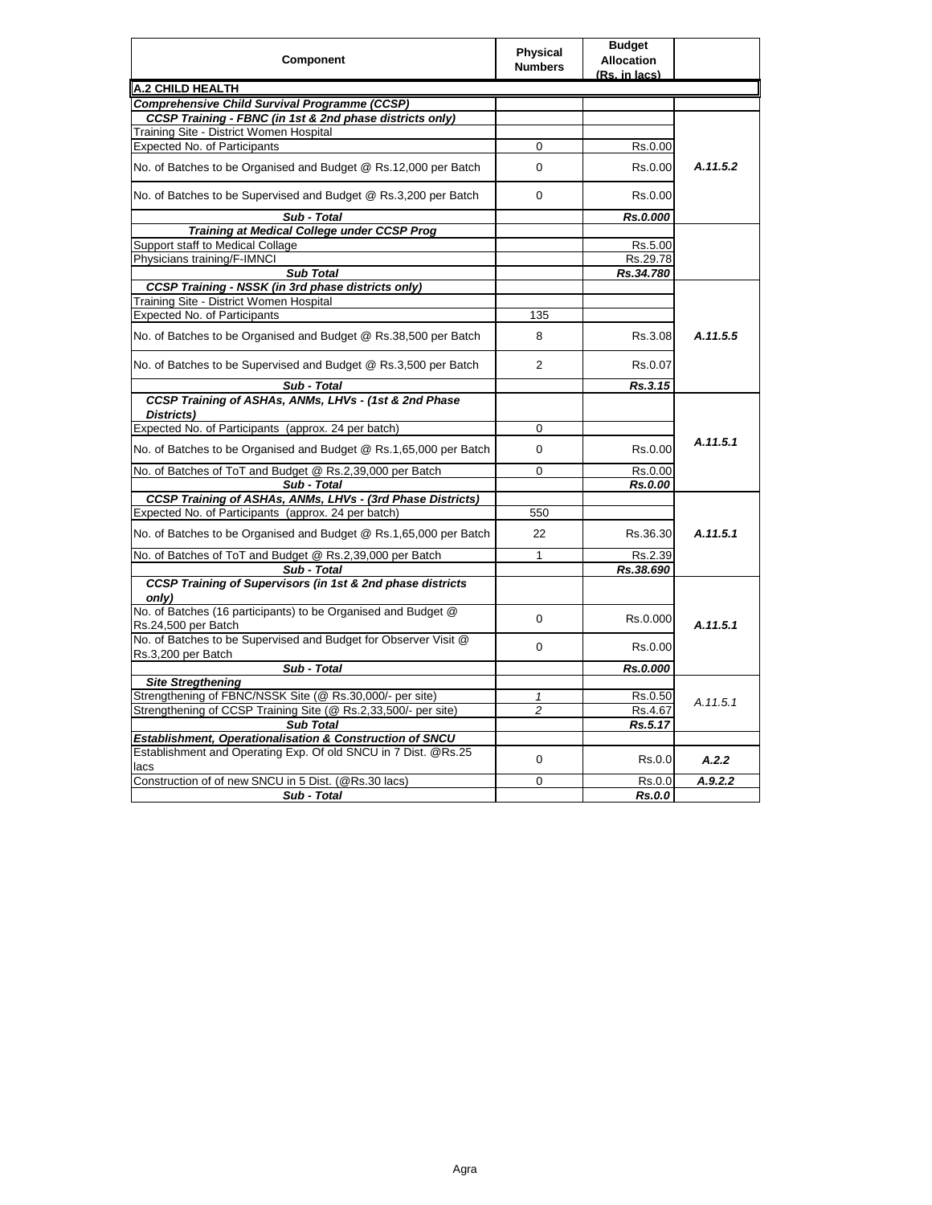| Component                                                              | Physical<br><b>Numbers</b> | <b>Budget</b><br><b>Allocation</b><br>(Rs. in lacs) |          |
|------------------------------------------------------------------------|----------------------------|-----------------------------------------------------|----------|
| A.2 CHILD HEALTH                                                       |                            |                                                     |          |
| Comprehensive Child Survival Programme (CCSP)                          |                            |                                                     |          |
| CCSP Training - FBNC (in 1st & 2nd phase districts only)               |                            |                                                     |          |
| Training Site - District Women Hospital                                |                            |                                                     |          |
| <b>Expected No. of Participants</b>                                    | 0                          | Rs.0.00                                             |          |
| No. of Batches to be Organised and Budget @ Rs.12,000 per Batch        | $\Omega$                   | Rs.0.00                                             | A.11.5.2 |
| No. of Batches to be Supervised and Budget @ Rs.3,200 per Batch        | $\Omega$                   | Rs.0.00                                             |          |
| Sub - Total                                                            |                            | Rs.0.000                                            |          |
| <b>Training at Medical College under CCSP Prog</b>                     |                            |                                                     |          |
| Support staff to Medical Collage                                       |                            | Rs.5.00                                             |          |
| Physicians training/F-IMNCI                                            |                            | Rs.29.78                                            |          |
| <b>Sub Total</b>                                                       |                            | Rs.34.780                                           |          |
| <b>CCSP Training - NSSK (in 3rd phase districts only)</b>              |                            |                                                     |          |
| Training Site - District Women Hospital                                |                            |                                                     |          |
| Expected No. of Participants                                           | 135                        |                                                     |          |
| No. of Batches to be Organised and Budget @ Rs.38,500 per Batch        | 8                          | Rs.3.08                                             | A.11.5.5 |
| No. of Batches to be Supervised and Budget @ Rs.3,500 per Batch        | 2                          | Rs.0.07                                             |          |
| Sub - Total                                                            |                            | Rs.3.15                                             |          |
| CCSP Training of ASHAs, ANMs, LHVs - (1st & 2nd Phase                  |                            |                                                     |          |
| Districts)                                                             |                            |                                                     |          |
| Expected No. of Participants (approx. 24 per batch)                    | $\mathbf 0$                |                                                     |          |
| No. of Batches to be Organised and Budget @ Rs.1,65,000 per Batch      | $\mathbf 0$                | Rs.0.00                                             | A.11.5.1 |
| No. of Batches of ToT and Budget @ Rs.2,39,000 per Batch               | 0                          | Rs.0.00                                             |          |
| Sub - Total                                                            |                            | Rs.0.00                                             |          |
| CCSP Training of ASHAs, ANMs, LHVs - (3rd Phase Districts)             |                            |                                                     |          |
| Expected No. of Participants (approx. 24 per batch)                    | 550                        |                                                     |          |
| No. of Batches to be Organised and Budget @ Rs.1,65,000 per Batch      | 22                         | Rs.36.30                                            | A.11.5.1 |
| No. of Batches of ToT and Budget @ Rs.2,39,000 per Batch               | 1                          | Rs.2.39                                             |          |
| Sub - Total                                                            |                            | Rs.38.690                                           |          |
| <b>CCSP Training of Supervisors (in 1st &amp; 2nd phase districts</b>  |                            |                                                     |          |
| only)                                                                  |                            |                                                     |          |
| No. of Batches (16 participants) to be Organised and Budget @          | $\mathbf 0$                | Rs.0.000                                            |          |
| Rs.24,500 per Batch                                                    |                            |                                                     | A.11.5.1 |
| No. of Batches to be Supervised and Budget for Observer Visit @        | $\mathbf 0$                | Rs.0.00                                             |          |
| Rs.3,200 per Batch                                                     |                            |                                                     |          |
| Sub - Total                                                            |                            | Rs.0.000                                            |          |
| <b>Site Stregthening</b>                                               |                            |                                                     |          |
| Strengthening of FBNC/NSSK Site (@ Rs.30,000/- per site)               | 1                          | Rs.0.50                                             | A.11.5.1 |
| Strengthening of CCSP Training Site (@ Rs.2,33,500/- per site)         | $\overline{c}$             | Rs.4.67                                             |          |
| <b>Sub Total</b>                                                       |                            | Rs.5.17                                             |          |
| Establishment, Operationalisation & Construction of SNCU               |                            |                                                     |          |
| Establishment and Operating Exp. Of old SNCU in 7 Dist. @Rs.25<br>lacs | $\mathbf 0$                | Rs.0.0                                              | A.2.2    |
| Construction of of new SNCU in 5 Dist. (@Rs.30 lacs)                   | $\Omega$                   | Rs.0.0                                              | A.9.2.2  |
| Sub - Total                                                            |                            | <b>Rs.0.0</b>                                       |          |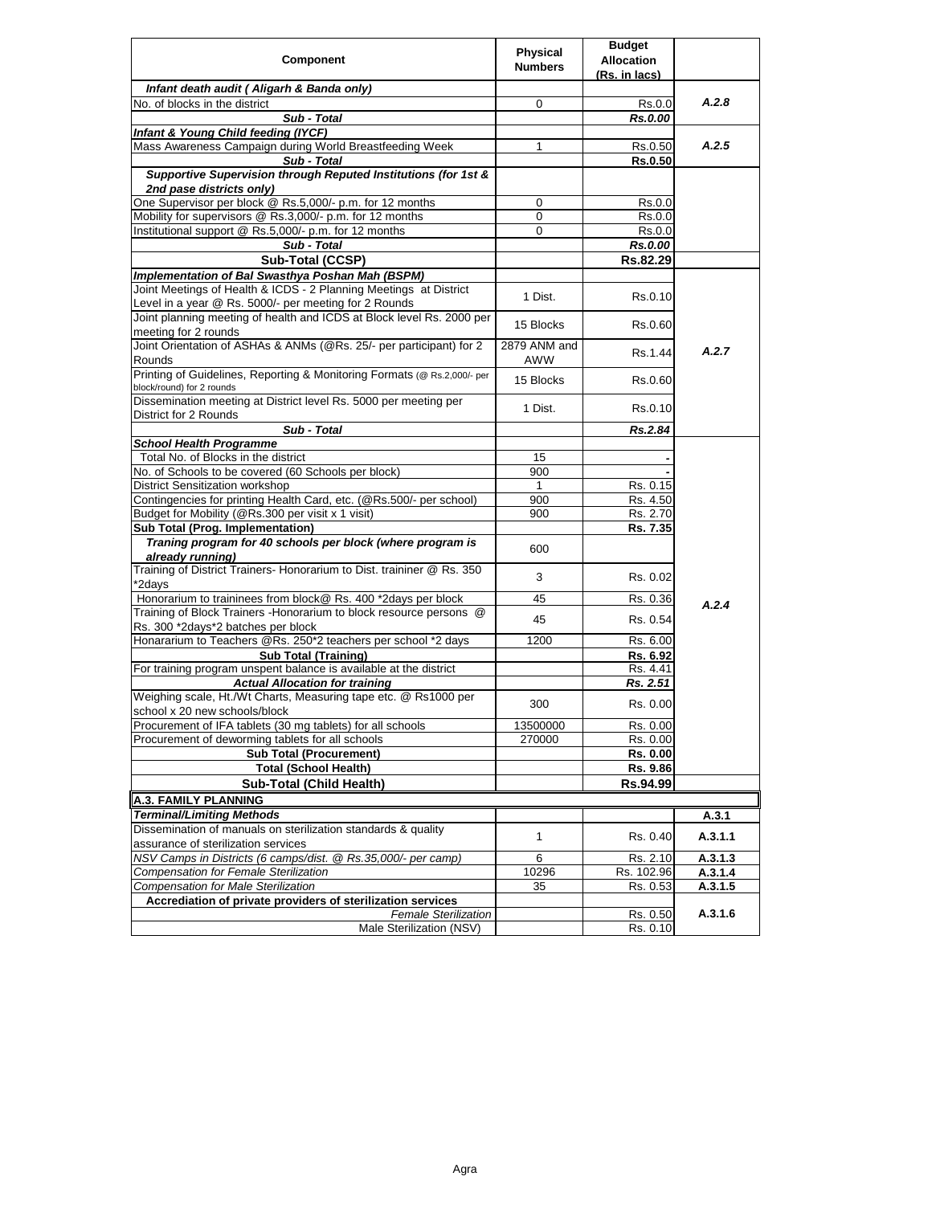| Component                                                                                                                  | <b>Physical</b><br><b>Numbers</b> | <b>Budget</b><br><b>Allocation</b><br>(Rs. in lacs) |         |
|----------------------------------------------------------------------------------------------------------------------------|-----------------------------------|-----------------------------------------------------|---------|
| Infant death audit (Aligarh & Banda only)                                                                                  |                                   |                                                     |         |
| No. of blocks in the district                                                                                              | 0                                 | Rs.0.0                                              | A.2.8   |
| Sub - Total                                                                                                                |                                   | Rs.0.00                                             |         |
| Infant & Young Child feeding (IYCF)                                                                                        |                                   |                                                     |         |
| Mass Awareness Campaign during World Breastfeeding Week                                                                    |                                   | Rs.0.50                                             | A.2.5   |
| Sub - Total                                                                                                                |                                   | Rs.0.50                                             |         |
| Supportive Supervision through Reputed Institutions (for 1st &                                                             |                                   |                                                     |         |
| 2nd pase districts only)                                                                                                   |                                   |                                                     |         |
| One Supervisor per block @ Rs.5,000/- p.m. for 12 months                                                                   | 0                                 | Rs.0.0                                              |         |
| Mobility for supervisors @ Rs.3,000/- p.m. for 12 months                                                                   | 0                                 | Rs.0.0                                              |         |
| Institutional support @ Rs.5,000/- p.m. for 12 months                                                                      | 0                                 | Rs.0.0                                              |         |
| Sub - Total                                                                                                                |                                   | <b>Rs.0.00</b>                                      |         |
| Sub-Total (CCSP)                                                                                                           |                                   | Rs.82.29                                            |         |
|                                                                                                                            |                                   |                                                     |         |
| Implementation of Bal Swasthya Poshan Mah (BSPM)                                                                           |                                   |                                                     |         |
| Joint Meetings of Health & ICDS - 2 Planning Meetings at District<br>Level in a year @ Rs. 5000/- per meeting for 2 Rounds | 1 Dist.                           | Rs.0.10                                             |         |
| Joint planning meeting of health and ICDS at Block level Rs. 2000 per                                                      |                                   |                                                     |         |
| meeting for 2 rounds                                                                                                       | 15 Blocks                         | Rs.0.60                                             |         |
| Joint Orientation of ASHAs & ANMs (@Rs. 25/- per participant) for 2                                                        | 2879 ANM and                      |                                                     | A.2.7   |
| Rounds                                                                                                                     | AWW                               | Rs.1.44                                             |         |
| Printing of Guidelines, Reporting & Monitoring Formats (@ Rs.2,000/- per<br>block/round) for 2 rounds                      | 15 Blocks                         | Rs.0.60                                             |         |
| Dissemination meeting at District level Rs. 5000 per meeting per                                                           | 1 Dist.                           | Rs.0.10                                             |         |
| District for 2 Rounds<br>Sub - Total                                                                                       |                                   |                                                     |         |
|                                                                                                                            |                                   | Rs.2.84                                             |         |
| <b>School Health Programme</b><br>Total No. of Blocks in the district                                                      |                                   |                                                     |         |
| No. of Schools to be covered (60 Schools per block)                                                                        | 15                                |                                                     |         |
|                                                                                                                            | 900                               |                                                     |         |
| District Sensitization workshop                                                                                            | 1                                 | Rs. 0.15                                            |         |
| Contingencies for printing Health Card, etc. (@Rs.500/- per school)                                                        | 900                               | Rs. 4.50                                            |         |
| Budget for Mobility (@Rs.300 per visit x 1 visit)                                                                          | 900                               | Rs. 2.70                                            |         |
| Sub Total (Prog. Implementation)                                                                                           |                                   | Rs. 7.35                                            |         |
| Traning program for 40 schools per block (where program is<br>already running)                                             | 600                               |                                                     |         |
| Training of District Trainers- Honorarium to Dist. traininer @ Rs. 350<br>*2days                                           | 3                                 | Rs. 0.02                                            |         |
| Honorarium to traininees from block@ Rs. 400 *2days per block                                                              | 45                                | Rs. 0.36                                            |         |
| Training of Block Trainers - Honorarium to block resource persons @                                                        |                                   |                                                     | A.2.4   |
| Rs. 300 *2days*2 batches per block                                                                                         | 45                                | Rs. 0.54                                            |         |
| Honararium to Teachers @Rs. 250*2 teachers per school *2 days                                                              | 1200                              | Rs. 6.00                                            |         |
| <b>Sub Total (Training)</b>                                                                                                |                                   | Rs. 6.92                                            |         |
| For training program unspent balance is available at the district                                                          |                                   | Rs. 4.41                                            |         |
| <b>Actual Allocation for training</b>                                                                                      |                                   | Rs. 2.51                                            |         |
| Weighing scale, Ht./Wt Charts, Measuring tape etc. @ Rs1000 per<br>school x 20 new schools/block                           | 300                               | Rs. 0.00                                            |         |
| Procurement of IFA tablets (30 mg tablets) for all schools                                                                 | 13500000                          | Rs. 0.00                                            |         |
| Procurement of deworming tablets for all schools                                                                           | 270000                            | Rs. 0.00                                            |         |
| <b>Sub Total (Procurement)</b>                                                                                             |                                   | Rs. 0.00                                            |         |
| <b>Total (School Health)</b>                                                                                               |                                   | Rs. 9.86                                            |         |
| <b>Sub-Total (Child Health)</b>                                                                                            |                                   | Rs.94.99                                            |         |
|                                                                                                                            |                                   |                                                     |         |
| <b>A.3. FAMILY PLANNING</b>                                                                                                |                                   |                                                     |         |
| <b>Terminal/Limiting Methods</b>                                                                                           |                                   |                                                     | A.3.1   |
| Dissemination of manuals on sterilization standards & quality                                                              | 1                                 | Rs. 0.40                                            | A.3.1.1 |
| assurance of sterilization services                                                                                        |                                   |                                                     |         |
| NSV Camps in Districts (6 camps/dist. @ Rs.35,000/- per camp)                                                              | 6                                 | Rs. 2.10                                            | A.3.1.3 |
| Compensation for Female Sterilization                                                                                      | 10296                             | Rs. 102.96                                          | A.3.1.4 |
| Compensation for Male Sterilization                                                                                        | 35                                | Rs. 0.53                                            | A.3.1.5 |
| Accrediation of private providers of sterilization services                                                                |                                   |                                                     |         |
| <b>Female Sterilization</b>                                                                                                |                                   | Rs. 0.50                                            | A.3.1.6 |
| Male Sterilization (NSV)                                                                                                   |                                   | Rs. 0.10                                            |         |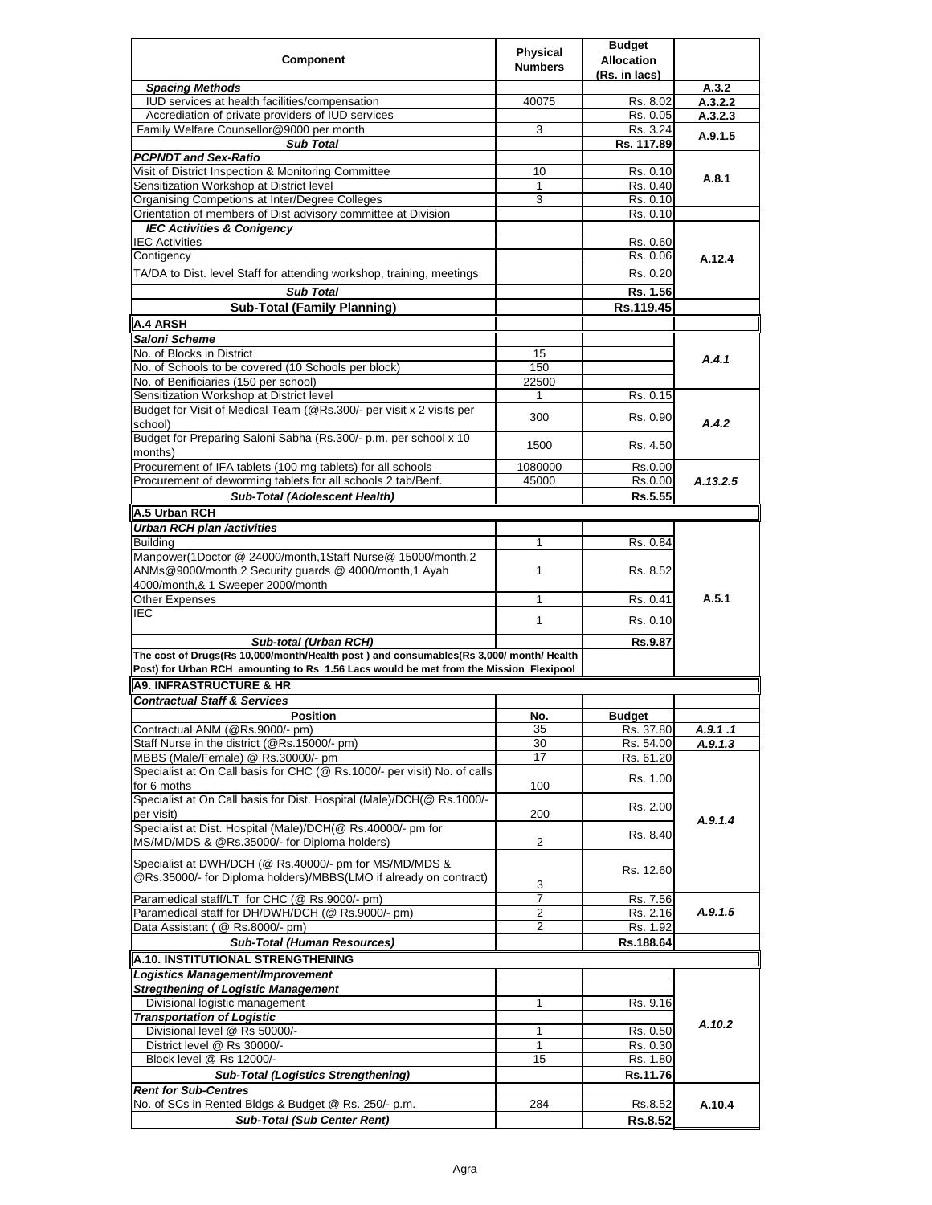|                                                                                                                                                                                | Physical       | <b>Budget</b>     |                  |
|--------------------------------------------------------------------------------------------------------------------------------------------------------------------------------|----------------|-------------------|------------------|
| Component                                                                                                                                                                      | <b>Numbers</b> | <b>Allocation</b> |                  |
|                                                                                                                                                                                |                | (Rs. in lacs)     |                  |
| <b>Spacing Methods</b><br>IUD services at health facilities/compensation                                                                                                       | 40075          | Rs. 8.02          | A.3.2<br>A.3.2.2 |
| Accrediation of private providers of IUD services                                                                                                                              |                | Rs. 0.05          | A.3.2.3          |
| Family Welfare Counsellor@9000 per month                                                                                                                                       | 3              | Rs. 3.24          |                  |
| <b>Sub Total</b>                                                                                                                                                               |                | Rs. 117.89        | A.9.1.5          |
| <b>PCPNDT and Sex-Ratio</b>                                                                                                                                                    |                |                   |                  |
| Visit of District Inspection & Monitoring Committee                                                                                                                            | 10             | Rs. 0.10          |                  |
| Sensitization Workshop at District level                                                                                                                                       | 1              | Rs. 0.40          | A.8.1            |
| Organising Competions at Inter/Degree Colleges                                                                                                                                 | 3              | Rs. 0.10          |                  |
| Orientation of members of Dist advisory committee at Division                                                                                                                  |                | Rs. 0.10          |                  |
| <b>IEC Activities &amp; Conigency</b>                                                                                                                                          |                |                   |                  |
| <b>IEC Activities</b>                                                                                                                                                          |                | Rs. 0.60          |                  |
| Contigency                                                                                                                                                                     |                | Rs. 0.06          | A.12.4           |
| TA/DA to Dist. level Staff for attending workshop, training, meetings                                                                                                          |                | Rs. 0.20          |                  |
|                                                                                                                                                                                |                |                   |                  |
| <b>Sub Total</b>                                                                                                                                                               |                | Rs. 1.56          |                  |
| <b>Sub-Total (Family Planning)</b>                                                                                                                                             |                | Rs.119.45         |                  |
| A.4 ARSH                                                                                                                                                                       |                |                   |                  |
| Saloni Scheme                                                                                                                                                                  |                |                   |                  |
| No. of Blocks in District                                                                                                                                                      | 15             |                   | A.4.1            |
| No. of Schools to be covered (10 Schools per block)                                                                                                                            | 150            |                   |                  |
| No. of Benificiaries (150 per school)                                                                                                                                          | 22500          |                   |                  |
| Sensitization Workshop at District level                                                                                                                                       |                | Rs. 0.15          |                  |
| Budget for Visit of Medical Team (@Rs.300/- per visit x 2 visits per                                                                                                           |                |                   |                  |
| school)                                                                                                                                                                        | 300            | Rs. 0.90          | A.4.2            |
| Budget for Preparing Saloni Sabha (Rs.300/- p.m. per school x 10                                                                                                               |                |                   |                  |
| months)                                                                                                                                                                        | 1500           | Rs. 4.50          |                  |
| Procurement of IFA tablets (100 mg tablets) for all schools                                                                                                                    | 1080000        | Rs.0.00           |                  |
| Procurement of deworming tablets for all schools 2 tab/Benf.                                                                                                                   | 45000          | Rs.0.00           | A.13.2.5         |
| <b>Sub-Total (Adolescent Health)</b>                                                                                                                                           |                | Rs.5.55           |                  |
| A.5 Urban RCH                                                                                                                                                                  |                |                   |                  |
|                                                                                                                                                                                |                |                   |                  |
| <b>Urban RCH plan /activities</b>                                                                                                                                              |                |                   |                  |
| <b>Buildina</b>                                                                                                                                                                | 1              | Rs. 0.84          |                  |
| Manpower(1Doctor @ 24000/month,1Staff Nurse@ 15000/month,2                                                                                                                     |                |                   |                  |
| ANMs@9000/month,2 Security guards @ 4000/month,1 Ayah                                                                                                                          | $\mathbf{1}$   | Rs. 8.52          |                  |
| 4000/month,& 1 Sweeper 2000/month                                                                                                                                              |                |                   | A.5.1            |
| Other Expenses                                                                                                                                                                 | $\mathbf{1}$   | Rs. 0.41          |                  |
| IEC                                                                                                                                                                            | 1              | Rs. 0.10          |                  |
|                                                                                                                                                                                |                |                   |                  |
| Sub-total (Urban RCH)                                                                                                                                                          |                | Rs.9.87           |                  |
| The cost of Drugs(Rs 10,000/month/Health post) and consumables(Rs 3,000/month/ Health<br>Post) for Urban RCH amounting to Rs 1.56 Lacs would be met from the Mission Flexipool |                |                   |                  |
|                                                                                                                                                                                |                |                   |                  |
| <b>A9. INFRASTRUCTURE &amp; HR</b>                                                                                                                                             |                |                   |                  |
| <b>Contractual Staff &amp; Services</b>                                                                                                                                        |                |                   |                  |
| <b>Position</b>                                                                                                                                                                | No.            | <b>Budget</b>     |                  |
| Contractual ANM (@Rs.9000/- pm)                                                                                                                                                | 35             | Rs. 37.80         | A.9.1.1          |
| Staff Nurse in the district (@Rs.15000/- pm)                                                                                                                                   | 30             | Rs. 54.00         | A.9.1.3          |
| MBBS (Male/Female) @ Rs.30000/- pm                                                                                                                                             | 17             | Rs. 61.20         |                  |
| Specialist at On Call basis for CHC (@ Rs.1000/- per visit) No. of calls                                                                                                       |                | Rs. 1.00          |                  |
| for 6 moths                                                                                                                                                                    | 100            |                   |                  |
| Specialist at On Call basis for Dist. Hospital (Male)/DCH(@ Rs.1000/-                                                                                                          |                | Rs. 2.00          |                  |
| per visit)                                                                                                                                                                     | 200            |                   | A.9.1.4          |
| Specialist at Dist. Hospital (Male)/DCH(@ Rs.40000/- pm for                                                                                                                    |                | Rs. 8.40          |                  |
| MS/MD/MDS & @Rs.35000/- for Diploma holders)                                                                                                                                   | $\overline{2}$ |                   |                  |
| Specialist at DWH/DCH (@ Rs.40000/- pm for MS/MD/MDS &                                                                                                                         |                |                   |                  |
| @Rs.35000/- for Diploma holders)/MBBS(LMO if already on contract)                                                                                                              |                | Rs. 12.60         |                  |
|                                                                                                                                                                                | 3              |                   |                  |
| Paramedical staff/LT for CHC (@ Rs.9000/- pm)                                                                                                                                  | 7              | Rs. 7.56          |                  |
| Paramedical staff for DH/DWH/DCH (@ Rs.9000/- pm)                                                                                                                              | 2              | Rs. 2.16          | A.9.1.5          |
| Data Assistant ( @ Rs.8000/- pm)                                                                                                                                               | 2              | Rs. 1.92          |                  |
| <b>Sub-Total (Human Resources)</b>                                                                                                                                             |                | Rs.188.64         |                  |
| A.10. INSTITUTIONAL STRENGTHENING                                                                                                                                              |                |                   |                  |
| Logistics Management/Improvement                                                                                                                                               |                |                   |                  |
| <b>Stregthening of Logistic Management</b>                                                                                                                                     |                |                   |                  |
| Divisional logistic management                                                                                                                                                 | 1              | Rs. 9.16          |                  |
| <b>Transportation of Logistic</b>                                                                                                                                              |                |                   |                  |
| Divisional level @ Rs 50000/-                                                                                                                                                  | 1              | Rs. 0.50          | A.10.2           |
| District level @ Rs 30000/-                                                                                                                                                    | $\mathbf 1$    | Rs. 0.30          |                  |
| Block level @ Rs 12000/-                                                                                                                                                       | 15             |                   |                  |
|                                                                                                                                                                                |                | Rs. 1.80          |                  |
| <b>Sub-Total (Logistics Strengthening)</b>                                                                                                                                     |                | Rs.11.76          |                  |
| <b>Rent for Sub-Centres</b>                                                                                                                                                    |                |                   |                  |
| No. of SCs in Rented Bldgs & Budget @ Rs. 250/- p.m.                                                                                                                           | 284            | Rs.8.52           | A.10.4           |
| <b>Sub-Total (Sub Center Rent)</b>                                                                                                                                             |                | Rs.8.52           |                  |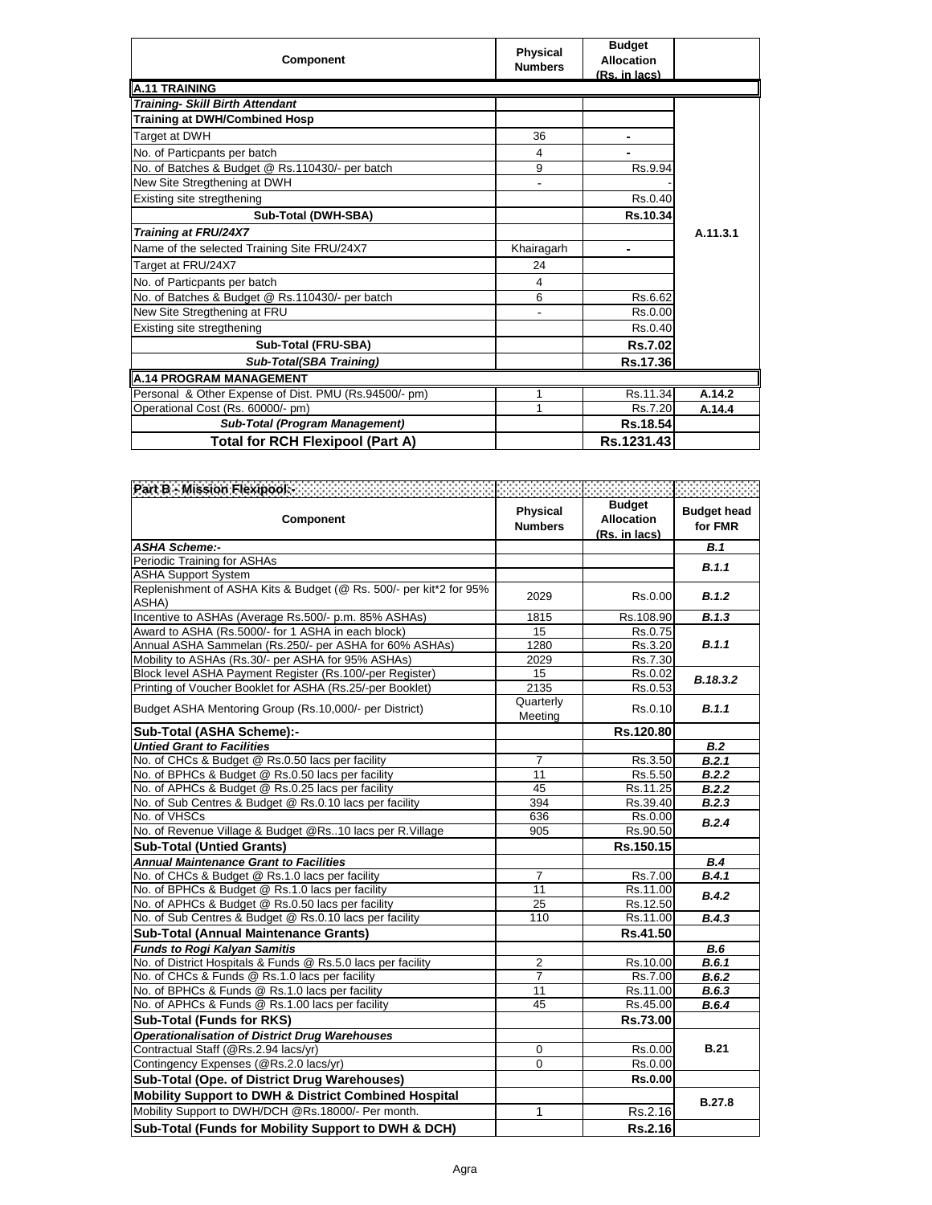| Component                                             | <b>Physical</b><br><b>Numbers</b> | <b>Budget</b><br>Allocation<br>(Rs. in lacs) |          |
|-------------------------------------------------------|-----------------------------------|----------------------------------------------|----------|
| <b>A.11 TRAINING</b>                                  |                                   |                                              |          |
| <b>Training- Skill Birth Attendant</b>                |                                   |                                              |          |
| <b>Training at DWH/Combined Hosp</b>                  |                                   |                                              |          |
| Target at DWH                                         | 36                                |                                              |          |
| No. of Particpants per batch                          | 4                                 |                                              |          |
| No. of Batches & Budget @ Rs.110430/- per batch       | 9                                 | Rs.9.94                                      |          |
| New Site Stregthening at DWH                          |                                   |                                              |          |
| Existing site stregthening                            |                                   | Rs.0.40                                      |          |
| Sub-Total (DWH-SBA)                                   |                                   | Rs.10.34                                     |          |
| <b>Training at FRU/24X7</b>                           |                                   |                                              | A.11.3.1 |
| Name of the selected Training Site FRU/24X7           | Khairagarh                        |                                              |          |
| Target at FRU/24X7                                    | 24                                |                                              |          |
| No. of Particpants per batch                          | 4                                 |                                              |          |
| No. of Batches & Budget @ Rs.110430/- per batch       | 6                                 | Rs.6.62                                      |          |
| New Site Stregthening at FRU                          |                                   | Rs.0.00                                      |          |
| Existing site stregthening                            |                                   | Rs.0.40                                      |          |
| Sub-Total (FRU-SBA)                                   |                                   | Rs.7.02                                      |          |
| Sub-Total(SBA Training)                               |                                   | Rs.17.36                                     |          |
| <b>A.14 PROGRAM MANAGEMENT</b>                        |                                   |                                              |          |
| Personal & Other Expense of Dist. PMU (Rs.94500/- pm) |                                   | Rs.11.34                                     | A.14.2   |
| Operational Cost (Rs. 60000/- pm)                     |                                   | Rs.7.20                                      | A.14.4   |
| Sub-Total (Program Management)                        |                                   | Rs.18.54                                     |          |
| <b>Total for RCH Flexipool (Part A)</b>               |                                   | Rs.1231.43                                   |          |

| Part B Mission Flexipools and the contract of the                           |                                   |                                                     |                               |
|-----------------------------------------------------------------------------|-----------------------------------|-----------------------------------------------------|-------------------------------|
| <b>Component</b>                                                            | <b>Physical</b><br><b>Numbers</b> | <b>Budget</b><br><b>Allocation</b><br>(Rs. in lacs) | <b>Budget head</b><br>for FMR |
| <b>ASHA Scheme:-</b>                                                        |                                   |                                                     | B.1                           |
| Periodic Training for ASHAs                                                 |                                   |                                                     | B.1.1                         |
| <b>ASHA Support System</b>                                                  |                                   |                                                     |                               |
| Replenishment of ASHA Kits & Budget (@ Rs. 500/- per kit*2 for 95%<br>ASHA) | 2029                              | Rs.0.00                                             | B.1.2                         |
| Incentive to ASHAs (Average Rs.500/- p.m. 85% ASHAs)                        | 1815                              | Rs.108.90                                           | B.1.3                         |
| Award to ASHA (Rs.5000/- for 1 ASHA in each block)                          | 15                                | Rs.0.75                                             |                               |
| Annual ASHA Sammelan (Rs.250/- per ASHA for 60% ASHAs)                      | 1280                              | Rs.3.20                                             | B.1.1                         |
| Mobility to ASHAs (Rs.30/- per ASHA for 95% ASHAs)                          | 2029                              | Rs.7.30                                             |                               |
| Block level ASHA Payment Register (Rs.100/-per Register)                    | 15                                | Rs.0.02                                             | B.18.3.2                      |
| Printing of Voucher Booklet for ASHA (Rs.25/-per Booklet)                   | 2135                              | Rs.0.53                                             |                               |
| Budget ASHA Mentoring Group (Rs.10,000/- per District)                      | Quarterly<br>Meeting              | Rs.0.10                                             | B.1.1                         |
| Sub-Total (ASHA Scheme):-                                                   |                                   | Rs.120.80                                           |                               |
| <b>Untied Grant to Facilities</b>                                           |                                   |                                                     | B.2                           |
| No. of CHCs & Budget @ Rs.0.50 lacs per facility                            | 7                                 | Rs.3.50                                             | B.2.1                         |
| No. of BPHCs & Budget @ Rs.0.50 lacs per facility                           | 11                                | Rs.5.50                                             | B.2.2                         |
| No. of APHCs & Budget @ Rs.0.25 lacs per facility                           | 45                                | Rs.11.25                                            | B.2.2                         |
| No. of Sub Centres & Budget @ Rs.0.10 lacs per facility                     | 394                               | Rs.39.40                                            | B.2.3                         |
| No. of VHSCs                                                                | 636                               | Rs.0.00                                             | B.2.4                         |
| No. of Revenue Village & Budget @Rs10 lacs per R.Village                    | 905                               | Rs.90.50                                            |                               |
| <b>Sub-Total (Untied Grants)</b>                                            |                                   | Rs.150.15                                           |                               |
| <b>Annual Maintenance Grant to Facilities</b>                               |                                   |                                                     | B.4                           |
| No. of CHCs & Budget @ Rs.1.0 lacs per facility                             | 7                                 | Rs.7.00                                             | B.4.1                         |
| No. of BPHCs & Budget @ Rs.1.0 lacs per facility                            | 11                                | Rs.11.00                                            | B.4.2                         |
| No. of APHCs & Budget @ Rs.0.50 lacs per facility                           | 25                                | Rs.12.50                                            |                               |
| No. of Sub Centres & Budget @ Rs.0.10 lacs per facility                     | 110                               | Rs.11.00                                            | B.4.3                         |
| <b>Sub-Total (Annual Maintenance Grants)</b>                                |                                   | Rs.41.50                                            |                               |
| <b>Funds to Rogi Kalyan Samitis</b>                                         |                                   |                                                     | <b>B.6</b>                    |
| No. of District Hospitals & Funds @ Rs.5.0 lacs per facility                | $\overline{2}$                    | Rs.10.00                                            | B.6.1                         |
| No. of CHCs & Funds @ Rs.1.0 lacs per facility                              | $\overline{7}$                    | Rs.7.00                                             | B.6.2                         |
| No. of BPHCs & Funds @ Rs.1.0 lacs per facility                             | 11                                | Rs.11.00                                            | B.6.3                         |
| No. of APHCs & Funds @ Rs.1.00 lacs per facility                            | $\overline{45}$                   | Rs.45.00                                            | B.6.4                         |
| <b>Sub-Total (Funds for RKS)</b>                                            |                                   | Rs.73.00                                            |                               |
| <b>Operationalisation of District Drug Warehouses</b>                       |                                   |                                                     |                               |
| Contractual Staff (@Rs.2.94 lacs/yr)                                        | $\mathbf 0$                       | Rs.0.00                                             | <b>B.21</b>                   |
| Contingency Expenses (@Rs.2.0 lacs/yr)                                      | $\Omega$                          | Rs.0.00                                             |                               |
| Sub-Total (Ope. of District Drug Warehouses)                                |                                   | <b>Rs.0.00</b>                                      |                               |
| Mobility Support to DWH & District Combined Hospital                        |                                   |                                                     |                               |
| Mobility Support to DWH/DCH @Rs.18000/- Per month.                          | 1                                 | Rs.2.16                                             | <b>B.27.8</b>                 |
| Sub-Total (Funds for Mobility Support to DWH & DCH)                         |                                   | <b>Rs.2.16</b>                                      |                               |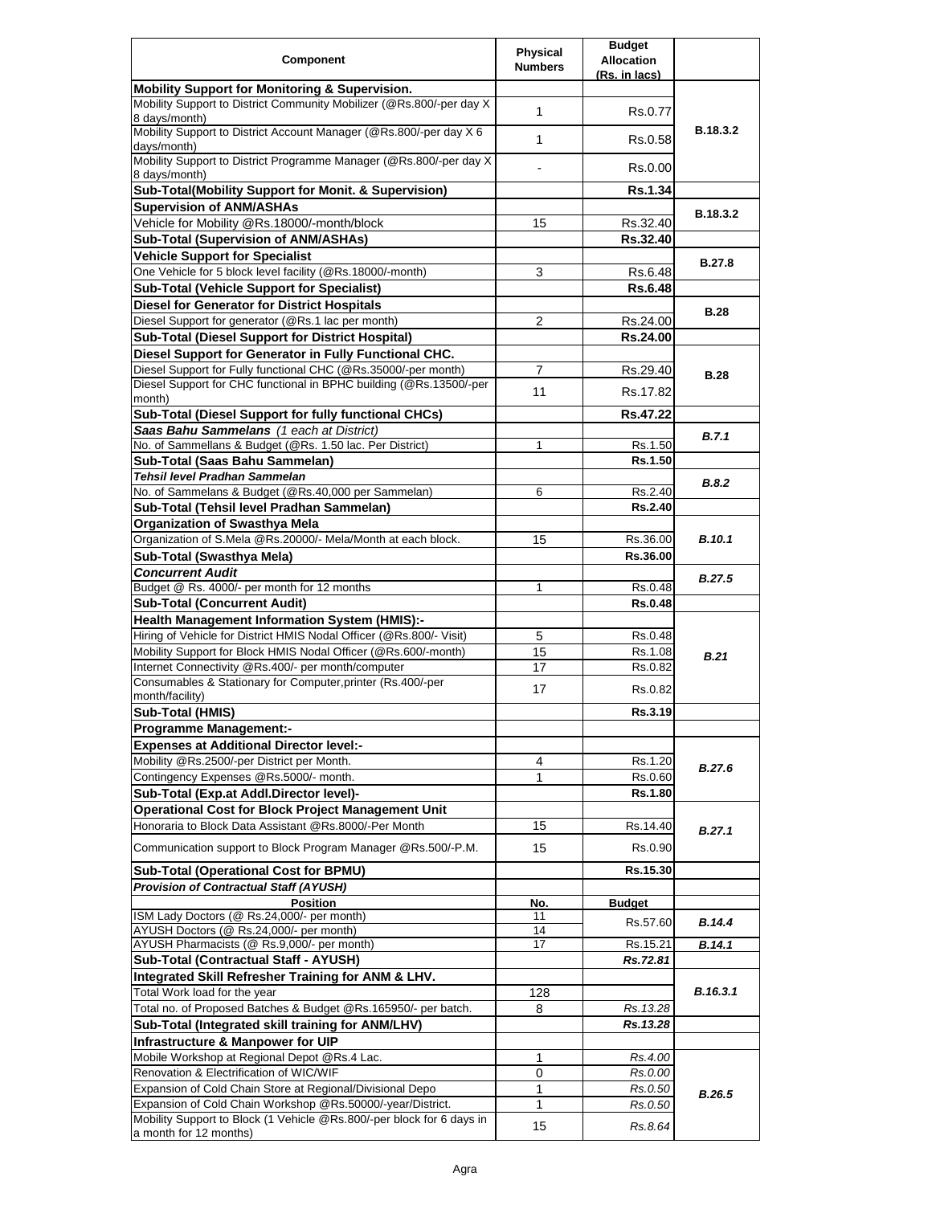|                                                                                                      | <b>Physical</b> | <b>Budget</b>                      |               |
|------------------------------------------------------------------------------------------------------|-----------------|------------------------------------|---------------|
| <b>Component</b>                                                                                     | <b>Numbers</b>  | <b>Allocation</b><br>(Rs. in lacs) |               |
| <b>Mobility Support for Monitoring &amp; Supervision.</b>                                            |                 |                                    |               |
| Mobility Support to District Community Mobilizer (@Rs.800/-per day X<br>8 days/month)                | 1               | Rs.0.77                            |               |
| Mobility Support to District Account Manager (@Rs.800/-per day X 6                                   | 1               | Rs.0.58                            | B.18.3.2      |
| days/month)<br>Mobility Support to District Programme Manager (@Rs.800/-per day X                    |                 | Rs.0.00                            |               |
| 8 days/month)                                                                                        |                 |                                    |               |
| Sub-Total(Mobility Support for Monit. & Supervision)<br><b>Supervision of ANM/ASHAs</b>              |                 | <b>Rs.1.34</b>                     |               |
| Vehicle for Mobility @Rs.18000/-month/block                                                          | 15              | Rs.32.40                           | B.18.3.2      |
| <b>Sub-Total (Supervision of ANM/ASHAs)</b>                                                          |                 | Rs.32.40                           |               |
| <b>Vehicle Support for Specialist</b>                                                                |                 |                                    |               |
| One Vehicle for 5 block level facility (@Rs.18000/-month)                                            | 3               | Rs.6.48                            | <b>B.27.8</b> |
| <b>Sub-Total (Vehicle Support for Specialist)</b>                                                    |                 | <b>Rs.6.48</b>                     |               |
| <b>Diesel for Generator for District Hospitals</b>                                                   |                 |                                    |               |
| Diesel Support for generator (@Rs.1 lac per month)                                                   | $\overline{2}$  | Rs.24.00                           | <b>B.28</b>   |
| <b>Sub-Total (Diesel Support for District Hospital)</b>                                              |                 | Rs.24.00                           |               |
| Diesel Support for Generator in Fully Functional CHC.                                                |                 |                                    |               |
| Diesel Support for Fully functional CHC (@Rs.35000/-per month)                                       | 7               | Rs.29.40                           | <b>B.28</b>   |
| Diesel Support for CHC functional in BPHC building (@Rs.13500/-per                                   | 11              | Rs.17.82                           |               |
| month)                                                                                               |                 |                                    |               |
| Sub-Total (Diesel Support for fully functional CHCs)                                                 |                 | Rs.47.22                           |               |
| Saas Bahu Sammelans (1 each at District)<br>No. of Sammellans & Budget (@Rs. 1.50 lac. Per District) | 1               |                                    | B.7.1         |
| Sub-Total (Saas Bahu Sammelan)                                                                       |                 | Rs.1.50<br>Rs.1.50                 |               |
| Tehsil level Pradhan Sammelan                                                                        |                 |                                    |               |
| No. of Sammelans & Budget (@Rs.40,000 per Sammelan)                                                  | 6               | Rs.2.40                            | B.8.2         |
| Sub-Total (Tehsil level Pradhan Sammelan)                                                            |                 | <b>Rs.2.40</b>                     |               |
| <b>Organization of Swasthya Mela</b>                                                                 |                 |                                    |               |
| Organization of S.Mela @Rs.20000/- Mela/Month at each block.                                         | 15              | Rs.36.00                           | <b>B.10.1</b> |
| Sub-Total (Swasthya Mela)                                                                            |                 | Rs.36.00                           |               |
| <b>Concurrent Audit</b>                                                                              |                 |                                    |               |
| Budget @ Rs. 4000/- per month for 12 months                                                          | 1               | Rs.0.48                            | <b>B.27.5</b> |
| <b>Sub-Total (Concurrent Audit)</b>                                                                  |                 | <b>Rs.0.48</b>                     |               |
| <b>Health Management Information System (HMIS):-</b>                                                 |                 |                                    |               |
| Hiring of Vehicle for District HMIS Nodal Officer (@Rs.800/- Visit)                                  | 5               | Rs.0.48                            |               |
| Mobility Support for Block HMIS Nodal Officer (@Rs.600/-month)                                       | 15              | Rs.1.08                            | B.21          |
| Internet Connectivity @Rs.400/- per month/computer                                                   | 17              | Rs.0.82                            |               |
| Consumables & Stationary for Computer, printer (Rs.400/-per                                          | 17              | Rs.0.82                            |               |
| month/facility)<br><b>Sub-Total (HMIS)</b>                                                           |                 | Rs.3.19                            |               |
| <b>Programme Management:-</b>                                                                        |                 |                                    |               |
| <b>Expenses at Additional Director level:-</b>                                                       |                 |                                    |               |
| Mobility @Rs.2500/-per District per Month.                                                           | 4               | Rs.1.20                            |               |
| Contingency Expenses @Rs.5000/- month.                                                               | 1               | Rs.0.60                            | B.27.6        |
| Sub-Total (Exp.at Addl.Director level)-                                                              |                 | Rs.1.80                            |               |
| <b>Operational Cost for Block Project Management Unit</b>                                            |                 |                                    |               |
| Honoraria to Block Data Assistant @Rs.8000/-Per Month                                                | 15              | Rs.14.40                           |               |
| Communication support to Block Program Manager @Rs.500/-P.M.                                         | 15              | Rs.0.90                            | B.27.1        |
| Sub-Total (Operational Cost for BPMU)                                                                |                 | Rs.15.30                           |               |
| <b>Provision of Contractual Staff (AYUSH)</b>                                                        |                 |                                    |               |
| <b>Position</b>                                                                                      | No.             | <b>Budget</b>                      |               |
| ISM Lady Doctors (@ Rs.24,000/- per month)                                                           | 11              | Rs.57.60                           | <b>B.14.4</b> |
| AYUSH Doctors (@ Rs.24,000/- per month)                                                              | 14              |                                    |               |
| AYUSH Pharmacists (@ Rs.9,000/- per month)                                                           | 17              | Rs.15.21                           | B.14.1        |
| Sub-Total (Contractual Staff - AYUSH)                                                                |                 | Rs.72.81                           |               |
| Integrated Skill Refresher Training for ANM & LHV.                                                   |                 |                                    |               |
| Total Work load for the year                                                                         | 128             |                                    | B.16.3.1      |
| Total no. of Proposed Batches & Budget @Rs.165950/- per batch.                                       | 8               | Rs. 13.28                          |               |
| Sub-Total (Integrated skill training for ANM/LHV)                                                    |                 | Rs.13.28                           |               |
| Infrastructure & Manpower for UIP                                                                    |                 |                                    |               |
| Mobile Workshop at Regional Depot @Rs.4 Lac.                                                         | 1               | Rs.4.00                            |               |
| Renovation & Electrification of WIC/WIF<br>Expansion of Cold Chain Store at Regional/Divisional Depo | 0<br>1          | Rs.0.00                            |               |
| Expansion of Cold Chain Workshop @Rs.50000/-year/District.                                           | 1               | Rs.0.50<br>Rs.0.50                 | B.26.5        |
| Mobility Support to Block (1 Vehicle @Rs.800/-per block for 6 days in                                |                 |                                    |               |
| a month for 12 months)                                                                               | 15              | Rs.8.64                            |               |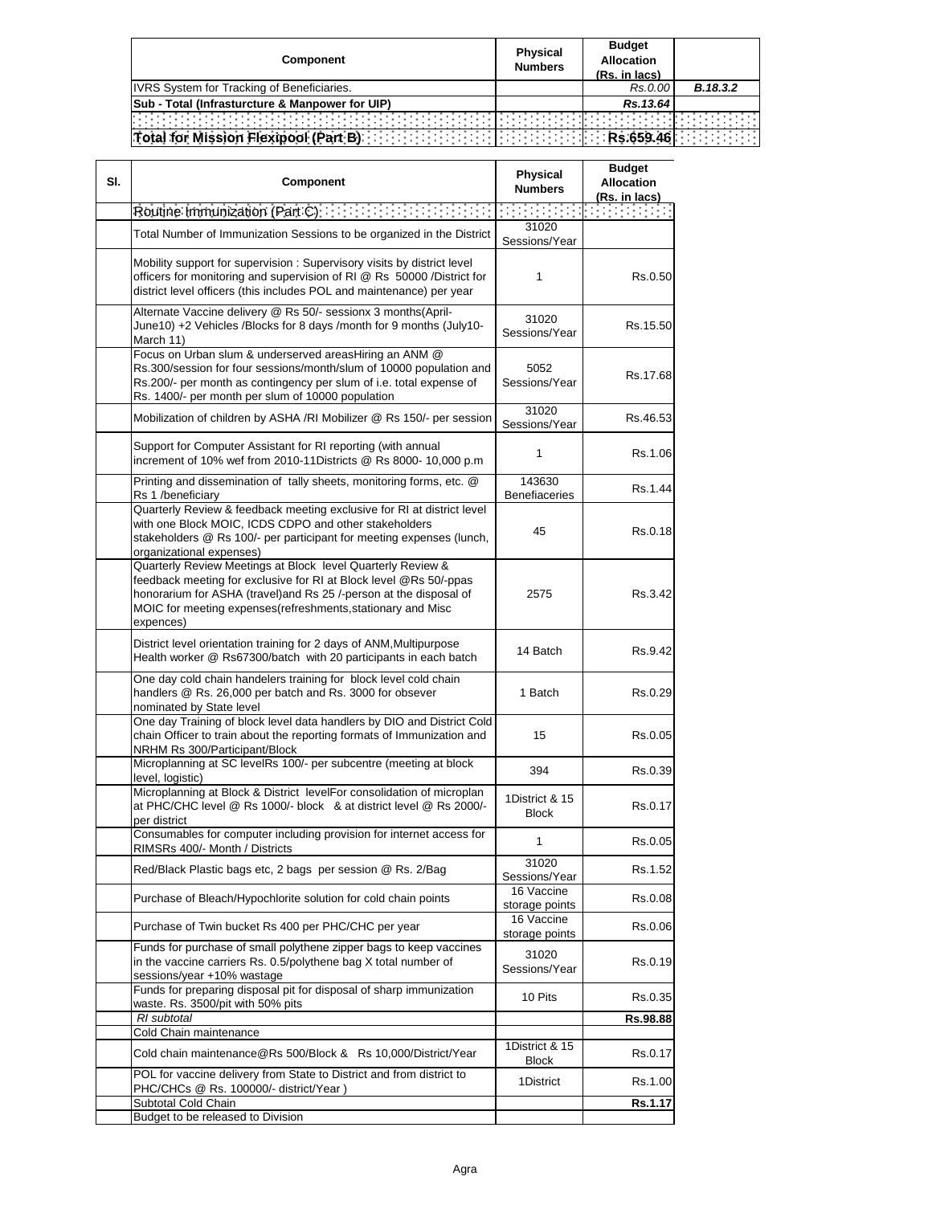| Component                                         | <b>Physical</b><br><b>Numbers</b> | <b>Budget</b><br><b>Allocation</b><br>(Rs. in lacs) |          |
|---------------------------------------------------|-----------------------------------|-----------------------------------------------------|----------|
| <b>IVRS System for Tracking of Beneficiaries.</b> |                                   | Rs.0.00                                             | B.18.3.2 |
| Sub - Total (Infrasturcture & Manpower for UIP)   |                                   | Rs. 13.64                                           |          |
|                                                   |                                   |                                                     |          |
| Total for Mission Flexipool (Part B)              |                                   |                                                     |          |

| SI. | <b>Component</b>                                                                                                                                                                                                                                                                  | <b>Physical</b><br><b>Numbers</b> | <b>Budget</b><br><b>Allocation</b><br>(Rs. in lacs) |
|-----|-----------------------------------------------------------------------------------------------------------------------------------------------------------------------------------------------------------------------------------------------------------------------------------|-----------------------------------|-----------------------------------------------------|
|     |                                                                                                                                                                                                                                                                                   |                                   | an an Aonaichte                                     |
|     | Total Number of Immunization Sessions to be organized in the District                                                                                                                                                                                                             | 31020<br>Sessions/Year            |                                                     |
|     | Mobility support for supervision: Supervisory visits by district level<br>officers for monitoring and supervision of RI @ Rs 50000 /District for<br>district level officers (this includes POL and maintenance) per year                                                          | 1                                 | Rs.0.50                                             |
|     | Alternate Vaccine delivery @ Rs 50/- sessionx 3 months(April-<br>June10) +2 Vehicles /Blocks for 8 days /month for 9 months (July10-<br>March 11)                                                                                                                                 | 31020<br>Sessions/Year            | Rs.15.50                                            |
|     | Focus on Urban slum & underserved areasHiring an ANM @<br>Rs.300/session for four sessions/month/slum of 10000 population and<br>Rs.200/- per month as contingency per slum of i.e. total expense of<br>Rs. 1400/- per month per slum of 10000 population                         | 5052<br>Sessions/Year             | Rs.17.68                                            |
|     | Mobilization of children by ASHA /RI Mobilizer @ Rs 150/- per session                                                                                                                                                                                                             | 31020<br>Sessions/Year            | Rs.46.53                                            |
|     | Support for Computer Assistant for RI reporting (with annual<br>increment of 10% wef from 2010-11Districts @ Rs 8000- 10,000 p.m                                                                                                                                                  | 1                                 | Rs.1.06                                             |
|     | Printing and dissemination of tally sheets, monitoring forms, etc. @<br>Rs 1 /beneficiary                                                                                                                                                                                         | 143630<br><b>Benefiaceries</b>    | Rs.1.44                                             |
|     | Quarterly Review & feedback meeting exclusive for RI at district level<br>with one Block MOIC, ICDS CDPO and other stakeholders<br>stakeholders @ Rs 100/- per participant for meeting expenses (lunch,<br>organizational expenses)                                               | 45                                | Rs.0.18                                             |
|     | Quarterly Review Meetings at Block level Quarterly Review &<br>feedback meeting for exclusive for RI at Block level @Rs 50/-ppas<br>honorarium for ASHA (travel)and Rs 25 /-person at the disposal of<br>MOIC for meeting expenses(refreshments, stationary and Misc<br>expences) | 2575                              | Rs.3.42                                             |
|     | District level orientation training for 2 days of ANM, Multipurpose<br>Health worker @ Rs67300/batch with 20 participants in each batch                                                                                                                                           | 14 Batch                          | Rs.9.42                                             |
|     | One day cold chain handelers training for block level cold chain<br>handlers @ Rs. 26,000 per batch and Rs. 3000 for obsever<br>nominated by State level                                                                                                                          | 1 Batch                           | Rs.0.29                                             |
|     | One day Training of block level data handlers by DIO and District Cold<br>chain Officer to train about the reporting formats of Immunization and<br>NRHM Rs 300/Participant/Block                                                                                                 | 15                                | Rs.0.05                                             |
|     | Microplanning at SC levelRs 100/- per subcentre (meeting at block<br>level, logistic)                                                                                                                                                                                             | 394                               | Rs.0.39                                             |
|     | Microplanning at Block & District levelFor consolidation of microplan<br>at PHC/CHC level @ Rs 1000/- block & at district level @ Rs 2000/-<br>per district                                                                                                                       | 1District & 15<br><b>Block</b>    | Rs.0.17                                             |
|     | Consumables for computer including provision for internet access for<br>RIMSRs 400/- Month / Districts                                                                                                                                                                            | 1                                 | Rs.0.05                                             |
|     | Red/Black Plastic bags etc, 2 bags per session @ Rs. 2/Bag                                                                                                                                                                                                                        | 31020<br>Sessions/Year            | Rs.1.52                                             |
|     | Purchase of Bleach/Hypochlorite solution for cold chain points                                                                                                                                                                                                                    | 16 Vaccine<br>storage points      | Rs.0.08                                             |
|     | Purchase of Twin bucket Rs 400 per PHC/CHC per year                                                                                                                                                                                                                               | 16 Vaccine<br>storage points      | Rs.0.06                                             |
|     | Funds for purchase of small polythene zipper bags to keep vaccines<br>in the vaccine carriers Rs. 0.5/polythene bag X total number of<br>sessions/year +10% wastage                                                                                                               | 31020<br>Sessions/Year            | Rs.0.19                                             |
|     | Funds for preparing disposal pit for disposal of sharp immunization<br>waste. Rs. 3500/pit with 50% pits                                                                                                                                                                          | 10 Pits                           | Rs.0.35                                             |
|     | RI subtotal                                                                                                                                                                                                                                                                       |                                   | Rs.98.88                                            |
|     | Cold Chain maintenance<br>Cold chain maintenance@Rs 500/Block & Rs 10,000/District/Year                                                                                                                                                                                           | 1District & 15<br><b>Block</b>    | Rs.0.17                                             |
|     | POL for vaccine delivery from State to District and from district to<br>PHC/CHCs @ Rs. 100000/- district/Year)                                                                                                                                                                    | 1District                         | Rs.1.00                                             |
|     | Subtotal Cold Chain                                                                                                                                                                                                                                                               |                                   | Rs.1.17                                             |
|     | Budget to be released to Division                                                                                                                                                                                                                                                 |                                   |                                                     |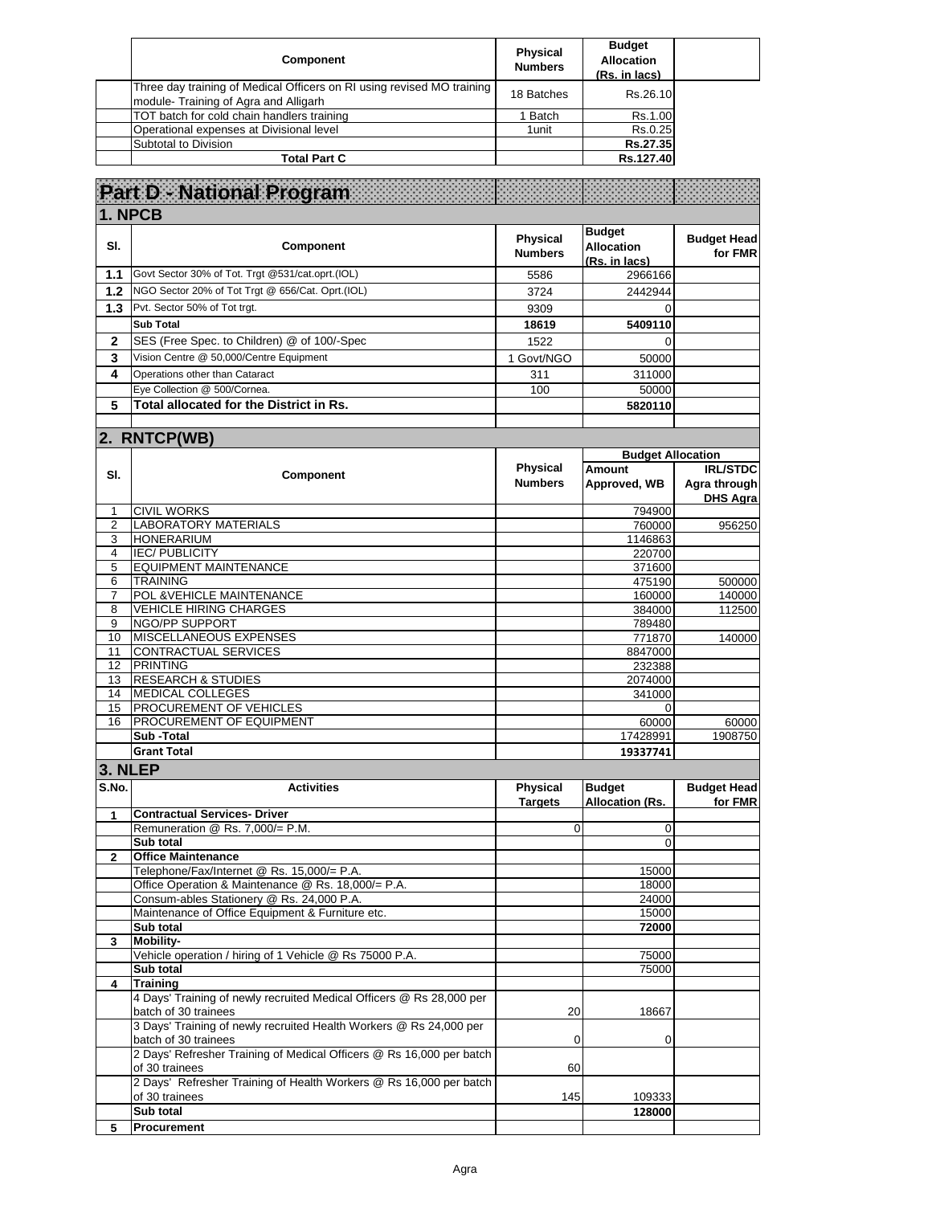| <b>Component</b>                                                                                               | <b>Physical</b><br><b>Numbers</b> | <b>Budget</b><br><b>Allocation</b><br>(Rs. in lacs) |  |
|----------------------------------------------------------------------------------------------------------------|-----------------------------------|-----------------------------------------------------|--|
| Three day training of Medical Officers on RI using revised MO training<br>module-Training of Agra and Alligarh | 18 Batches                        | Rs.26.10                                            |  |
| TOT batch for cold chain handlers training                                                                     | Batch                             | Rs.1.00                                             |  |
| Operational expenses at Divisional level                                                                       | 1unit                             | Rs.0.25                                             |  |
| Subtotal to Division                                                                                           |                                   | Rs.27.35                                            |  |
| <b>Total Part C</b>                                                                                            |                                   | Rs.127.40                                           |  |

|                | Part D. National Program                                                                     |                                   |                                                     |                                             |
|----------------|----------------------------------------------------------------------------------------------|-----------------------------------|-----------------------------------------------------|---------------------------------------------|
| 1. NPCB        |                                                                                              |                                   |                                                     |                                             |
| SI.            | Component                                                                                    | <b>Physical</b><br><b>Numbers</b> | <b>Budget</b><br><b>Allocation</b><br>(Rs. in lacs) | <b>Budget Head</b><br>for FMR               |
| 1.1            | Govt Sector 30% of Tot. Trgt @531/cat.oprt.(IOL)                                             | 5586                              | 2966166                                             |                                             |
| 1.2            | NGO Sector 20% of Tot Trgt @ 656/Cat. Oprt.(IOL)                                             | 3724                              | 2442944                                             |                                             |
| 1.3            | Pvt. Sector 50% of Tot trgt.                                                                 | 9309                              | 0                                                   |                                             |
|                | <b>Sub Total</b>                                                                             | 18619                             | 5409110                                             |                                             |
| $\mathbf 2$    | SES (Free Spec. to Children) @ of 100/-Spec                                                  | 1522                              | $\Omega$                                            |                                             |
| 3              | Vision Centre @ 50,000/Centre Equipment                                                      | 1 Govt/NGO                        | 50000                                               |                                             |
| 4              | Operations other than Cataract                                                               | 311                               | 311000                                              |                                             |
|                | Eye Collection @ 500/Cornea.                                                                 | 100                               | 50000                                               |                                             |
| 5              | Total allocated for the District in Rs.                                                      |                                   | 5820110                                             |                                             |
|                |                                                                                              |                                   |                                                     |                                             |
|                | 2. RNTCP(WB)                                                                                 |                                   |                                                     |                                             |
|                |                                                                                              |                                   | <b>Budget Allocation</b>                            |                                             |
| SI.            | Component                                                                                    | <b>Physical</b><br><b>Numbers</b> | Amount<br>Approved, WB                              | <b>IRL/STDC</b><br>Agra through<br>DHS Agra |
| 1              | <b>CIVIL WORKS</b>                                                                           |                                   | 794900                                              |                                             |
| $\overline{2}$ | <b>LABORATORY MATERIALS</b>                                                                  |                                   | 760000                                              | 956250                                      |
| 3              | <b>HONERARIUM</b>                                                                            |                                   | 1146863                                             |                                             |
| 4              | <b>IEC/PUBLICITY</b><br><b>EQUIPMENT MAINTENANCE</b>                                         |                                   | 220700                                              |                                             |
| 5<br>6         | <b>TRAINING</b>                                                                              |                                   | 371600<br>475190                                    | 500000                                      |
| 7              | POL & VEHICLE MAINTENANCE                                                                    |                                   | 160000                                              | 140000                                      |
| 8              | <b>VEHICLE HIRING CHARGES</b>                                                                |                                   | 384000                                              | 112500                                      |
| 9              | NGO/PP SUPPORT                                                                               |                                   | 789480                                              |                                             |
| 10             | MISCELLANEOUS EXPENSES                                                                       |                                   | 771870                                              | 140000                                      |
| 11             | <b>CONTRACTUAL SERVICES</b>                                                                  |                                   | 8847000                                             |                                             |
| 12             | <b>PRINTING</b>                                                                              |                                   | 232388                                              |                                             |
| 13             | <b>RESEARCH &amp; STUDIES</b>                                                                |                                   | 2074000                                             |                                             |
| 14             | <b>MEDICAL COLLEGES</b>                                                                      |                                   | 341000                                              |                                             |
| 15             | PROCUREMENT OF VEHICLES                                                                      |                                   | $\Omega$                                            |                                             |
| 16             | PROCUREMENT OF EQUIPMENT                                                                     |                                   | 60000                                               | 60000                                       |
|                | Sub-Total<br><b>Grant Total</b>                                                              |                                   | 17428991                                            | 1908750                                     |
|                |                                                                                              |                                   | 19337741                                            |                                             |
| 3. NLEP        |                                                                                              |                                   |                                                     |                                             |
| S.No.          | <b>Activities</b>                                                                            | <b>Physical</b><br><b>Targets</b> | <b>Budget</b><br><b>Allocation (Rs.</b>             | <b>Budget Head</b><br>for FMR               |
| 1              | <b>Contractual Services- Driver</b><br>Remuneration @ Rs. 7,000/= P.M.                       | 0                                 | 0                                                   |                                             |
|                | Sub total                                                                                    |                                   | 0                                                   |                                             |
|                | Office Maintenance                                                                           |                                   |                                                     |                                             |
|                | Telephone/Fax/Internet @ Rs. 15,000/= P.A.                                                   |                                   | 15000                                               |                                             |
|                | Office Operation & Maintenance @ Rs. 18,000/= P.A.                                           |                                   | 18000                                               |                                             |
|                | Consum-ables Stationery @ Rs. 24,000 P.A.                                                    |                                   | 24000                                               |                                             |
|                | Maintenance of Office Equipment & Furniture etc.                                             |                                   | 15000                                               |                                             |
|                | Sub total                                                                                    |                                   | 72000                                               |                                             |
| 3              | Mobility-                                                                                    |                                   |                                                     |                                             |
|                | Vehicle operation / hiring of 1 Vehicle @ Rs 75000 P.A.                                      |                                   | 75000                                               |                                             |
| 4              | Sub total<br><b>Training</b>                                                                 |                                   | 75000                                               |                                             |
|                | 4 Days' Training of newly recruited Medical Officers @ Rs 28,000 per<br>batch of 30 trainees | 20                                | 18667                                               |                                             |
|                | 3 Days' Training of newly recruited Health Workers @ Rs 24,000 per<br>batch of 30 trainees   | 0                                 | 0                                                   |                                             |
|                | 2 Days' Refresher Training of Medical Officers @ Rs 16,000 per batch<br>of 30 trainees       | 60                                |                                                     |                                             |
|                | 2 Days' Refresher Training of Health Workers @ Rs 16,000 per batch<br>of 30 trainees         | 145                               | 109333                                              |                                             |
|                | Sub total                                                                                    |                                   | 128000                                              |                                             |
| 5              | Procurement                                                                                  |                                   |                                                     |                                             |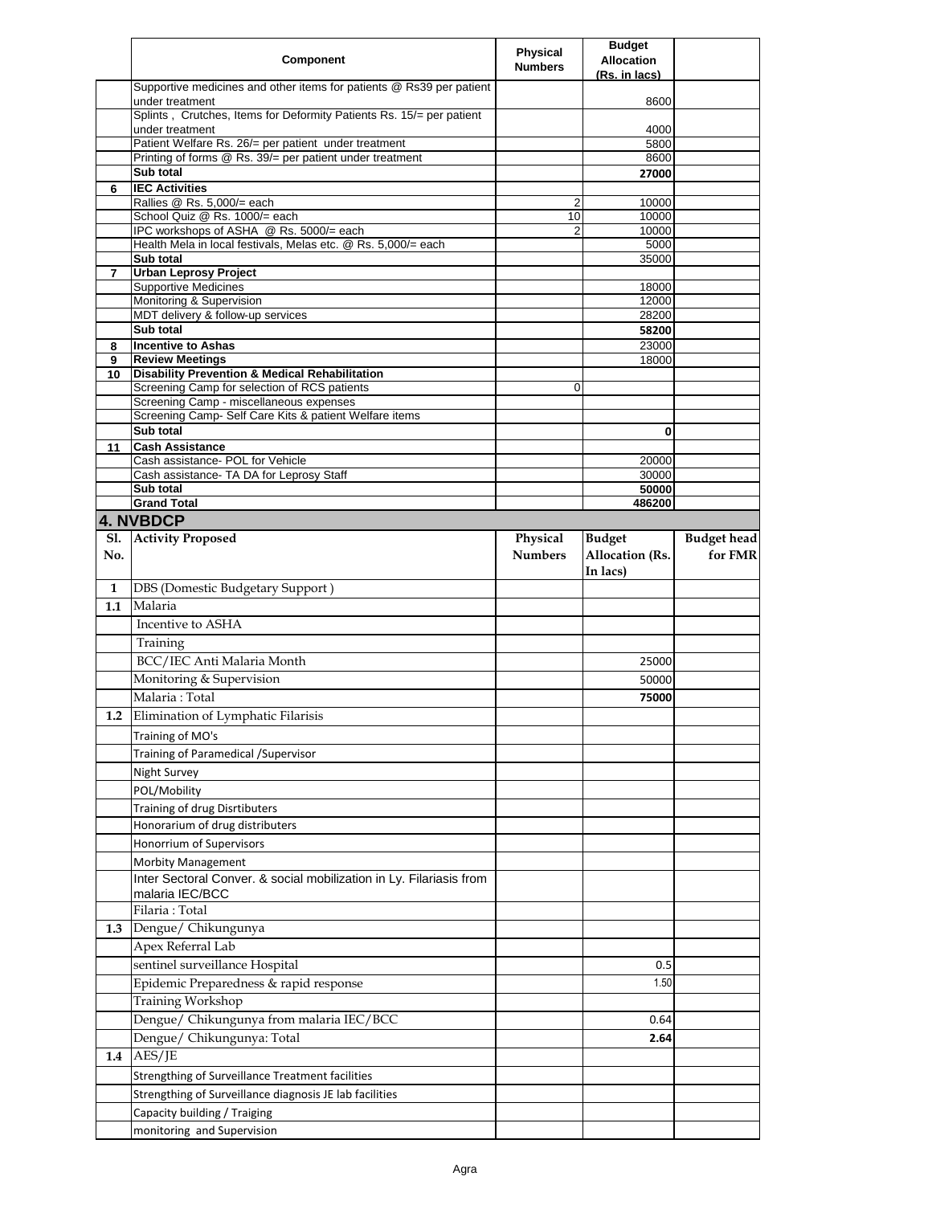|                   | <b>Component</b>                                                                        | <b>Physical</b><br><b>Numbers</b> | <b>Budget</b><br><b>Allocation</b><br>(Rs. in lacs) |                               |
|-------------------|-----------------------------------------------------------------------------------------|-----------------------------------|-----------------------------------------------------|-------------------------------|
|                   | Supportive medicines and other items for patients @ Rs39 per patient<br>under treatment |                                   | 8600                                                |                               |
|                   | Splints, Crutches, Items for Deformity Patients Rs. 15/= per patient<br>under treatment |                                   | 4000                                                |                               |
|                   | Patient Welfare Rs. 26/= per patient under treatment                                    |                                   | 5800                                                |                               |
|                   | Printing of forms @ Rs. 39/= per patient under treatment                                |                                   | 8600                                                |                               |
|                   | Sub total                                                                               |                                   | 27000                                               |                               |
| 6                 | <b>IEC Activities</b><br>Rallies @ Rs. 5,000/= each                                     | 2                                 | 10000                                               |                               |
|                   | School Quiz @ Rs. 1000/= each                                                           | 10                                | 10000                                               |                               |
|                   | IPC workshops of ASHA @ Rs. 5000/= each                                                 | 2                                 | 10000                                               |                               |
|                   | Health Mela in local festivals, Melas etc. @ Rs. 5,000/= each<br>Sub total              |                                   | 5000<br>35000                                       |                               |
| 7                 | <b>Urban Leprosy Project</b>                                                            |                                   |                                                     |                               |
|                   | <b>Supportive Medicines</b>                                                             |                                   | 18000                                               |                               |
|                   | Monitoring & Supervision<br>MDT delivery & follow-up services                           |                                   | 12000<br>28200                                      |                               |
|                   | Sub total                                                                               |                                   | 58200                                               |                               |
| 8                 | <b>Incentive to Ashas</b>                                                               |                                   | 23000                                               |                               |
| 9                 | <b>Review Meetings</b>                                                                  |                                   | 18000                                               |                               |
| 10                | <b>Disability Prevention &amp; Medical Rehabilitation</b>                               |                                   |                                                     |                               |
|                   | Screening Camp for selection of RCS patients<br>Screening Camp - miscellaneous expenses | 0                                 |                                                     |                               |
|                   | Screening Camp- Self Care Kits & patient Welfare items                                  |                                   |                                                     |                               |
|                   | Sub total                                                                               |                                   | 0                                                   |                               |
| 11                | <b>Cash Assistance</b>                                                                  |                                   |                                                     |                               |
|                   | Cash assistance- POL for Vehicle<br>Cash assistance- TA DA for Leprosy Staff            |                                   | 20000<br>30000                                      |                               |
|                   | Sub total                                                                               |                                   | 50000                                               |                               |
|                   | <b>Grand Total</b>                                                                      |                                   | 486200                                              |                               |
|                   | <b>4. NVBDCP</b>                                                                        |                                   |                                                     |                               |
| <b>S1.</b><br>No. | <b>Activity Proposed</b>                                                                | Physical<br><b>Numbers</b>        | <b>Budget</b><br><b>Allocation (Rs.</b><br>In lacs) | <b>Budget head</b><br>for FMR |
| 1                 | DBS (Domestic Budgetary Support)                                                        |                                   |                                                     |                               |
| 1.1               | Malaria                                                                                 |                                   |                                                     |                               |
|                   | Incentive to ASHA                                                                       |                                   |                                                     |                               |
|                   | Training                                                                                |                                   |                                                     |                               |
|                   | BCC/IEC Anti Malaria Month                                                              |                                   | 25000                                               |                               |
|                   | Monitoring & Supervision                                                                |                                   | 50000                                               |                               |
|                   | Malaria : Total                                                                         |                                   | 75000                                               |                               |
| 1.2               | Elimination of Lymphatic Filarisis                                                      |                                   |                                                     |                               |
|                   | Training of MO's                                                                        |                                   |                                                     |                               |
|                   | Training of Paramedical / Supervisor                                                    |                                   |                                                     |                               |
|                   | Night Survey                                                                            |                                   |                                                     |                               |
|                   | POL/Mobility                                                                            |                                   |                                                     |                               |
|                   | <b>Training of drug Disrtibuters</b>                                                    |                                   |                                                     |                               |
|                   | Honorarium of drug distributers                                                         |                                   |                                                     |                               |
|                   | Honorrium of Supervisors                                                                |                                   |                                                     |                               |
|                   | <b>Morbity Management</b>                                                               |                                   |                                                     |                               |
|                   | Inter Sectoral Conver. & social mobilization in Ly. Filariasis from                     |                                   |                                                     |                               |
|                   | malaria IEC/BCC                                                                         |                                   |                                                     |                               |
|                   | Filaria: Total                                                                          |                                   |                                                     |                               |
| 1.3               | Dengue/ Chikungunya                                                                     |                                   |                                                     |                               |
|                   | Apex Referral Lab                                                                       |                                   |                                                     |                               |
|                   | sentinel surveillance Hospital                                                          |                                   | 0.5                                                 |                               |
|                   | Epidemic Preparedness & rapid response                                                  |                                   | 1.50                                                |                               |
|                   | Training Workshop                                                                       |                                   |                                                     |                               |
|                   | Dengue/ Chikungunya from malaria IEC/BCC                                                |                                   | 0.64                                                |                               |
|                   | Dengue/ Chikungunya: Total                                                              |                                   | 2.64                                                |                               |
| 1.4               | AES/JE                                                                                  |                                   |                                                     |                               |
|                   | Strengthing of Surveillance Treatment facilities                                        |                                   |                                                     |                               |
|                   | Strengthing of Surveillance diagnosis JE lab facilities                                 |                                   |                                                     |                               |
|                   | Capacity building / Traiging                                                            |                                   |                                                     |                               |
|                   | monitoring and Supervision                                                              |                                   |                                                     |                               |